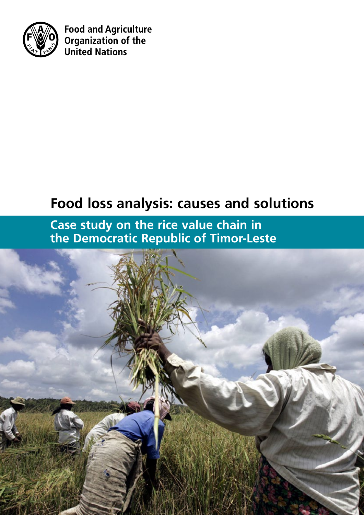

**Food and Agriculture** Organization of the **United Nations** 

# **Food loss analysis: causes and solutions**

**Case study on the rice value chain in the Democratic Republic of Timor-Leste**

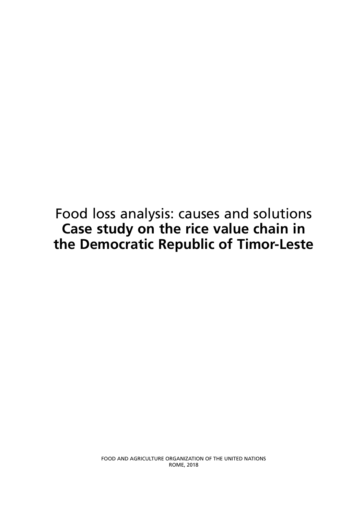Food loss analysis: causes and solutions **Case study on the rice value chain in the Democratic Republic of Timor-Leste**

> FOOD AND AGRICULTURE ORGANIZATION OF THE UNITED NATIONS ROME, 2018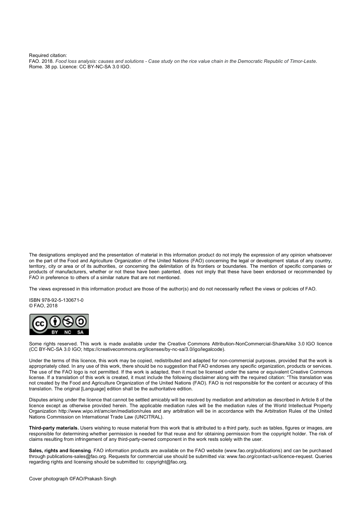Required citation:

FAO. 2018. *Food loss analysis: causes and solutions - Case study on the rice value chain in the Democratic Republic of Timor-Leste*. Rome. 38 pp. Licence: CC BY-NC-SA 3.0 IGO.

The designations employed and the presentation of material in this information product do not imply the expression of any opinion whatsoever on the part of the Food and Agriculture Organization of the United Nations (FAO) concerning the legal or development status of any country, territory, city or area or of its authorities, or concerning the delimitation of its frontiers or boundaries. The mention of specific companies or products of manufacturers, whether or not these have been patented, does not imply that these have been endorsed or recommended by FAO in preference to others of a similar nature that are not mentioned.

The views expressed in this information product are those of the author(s) and do not necessarily reflect the views or policies of FAO.

ISBN 978-92-5-130671-0 © FAO, 2018



Some rights reserved. This work is made available under the Creative Commons Attribution-NonCommercial-ShareAlike 3.0 IGO licence (CC BY-NC-SA 3.0 IGO; https://creativecommons.org/licenses/by-nc-sa/3.0/igo/legalcode).

Under the terms of this licence, this work may be copied, redistributed and adapted for non-commercial purposes, provided that the work is appropriately cited. In any use of this work, there should be no suggestion that FAO endorses any specific organization, products or services. The use of the FAO logo is not permitted. If the work is adapted, then it must be licensed under the same or equivalent Creative Commons license. If a translation of this work is created, it must include the following disclaimer along with the required citation: "This translation was not created by the Food and Agriculture Organization of the United Nations (FAO). FAO is not responsible for the content or accuracy of this translation. The original [Language] edition shall be the authoritative edition.

Disputes arising under the licence that cannot be settled amicably will be resolved by mediation and arbitration as described in Article 8 of the licence except as otherwise provided herein. The applicable mediation rules will be the mediation rules of the World Intellectual Property Organization http://www.wipo.int/amc/en/mediation/rules and any arbitration will be in accordance with the Arbitration Rules of the United Nations Commission on International Trade Law (UNCITRAL).

**Third-party materials.** Users wishing to reuse material from this work that is attributed to a third party, such as tables, figures or images, are responsible for determining whether permission is needed for that reuse and for obtaining permission from the copyright holder. The risk of claims resulting from infringement of any third-party-owned component in the work rests solely with the user.

**Sales, rights and licensing**. FAO information products are available on the FAO website (www.fao.org/publications) and can be purchased through publications-sales@fao.org. Requests for commercial use should be submitted via: www.fao.org/contact-us/licence-request. Queries regarding rights and licensing should be submitted to: copyright@fao.org.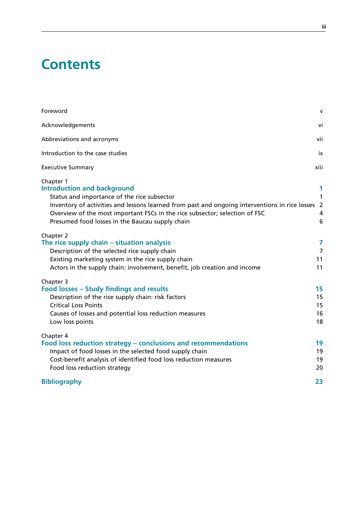## **Contents**

| Foreword                                                                                                                                                                                                                                                                                                                           | $\mathsf{v}$                                  |
|------------------------------------------------------------------------------------------------------------------------------------------------------------------------------------------------------------------------------------------------------------------------------------------------------------------------------------|-----------------------------------------------|
| Acknowledgements                                                                                                                                                                                                                                                                                                                   | vi                                            |
| Abbreviations and acronyms                                                                                                                                                                                                                                                                                                         | vii                                           |
| Introduction to the case studies                                                                                                                                                                                                                                                                                                   | ix                                            |
| <b>Executive Summary</b>                                                                                                                                                                                                                                                                                                           | xiii                                          |
| Chapter 1<br><b>Introduction and background</b><br>Status and importance of the rice subsector<br>Inventory of activities and lessons learned from past and ongoing interventions in rice losses<br>Overview of the most important FSCs in the rice subsector; selection of FSC<br>Presumed food losses in the Baucau supply chain | 1<br>$\mathbf{1}$<br>$\overline{2}$<br>4<br>6 |
| Chapter 2<br>The rice supply chain - situation analysis<br>Description of the selected rice supply chain<br>Existing marketing system in the rice supply chain<br>Actors in the supply chain: involvement, benefit, job creation and income                                                                                        | 7<br>$\overline{7}$<br>11<br>11               |
| Chapter 3<br>Food losses - Study findings and results<br>Description of the rice supply chain: risk factors<br><b>Critical Loss Points</b><br>Causes of losses and potential loss reduction measures<br>Low loss points                                                                                                            | 15<br>15<br>15<br>16<br>18                    |
| Chapter 4<br>Food loss reduction strategy – conclusions and recommendations<br>Impact of food losses in the selected food supply chain<br>Cost-benefit analysis of identified food loss reduction measures<br>Food loss reduction strategy                                                                                         | 19<br>19<br>19<br>20                          |
| <b>Bibliography</b>                                                                                                                                                                                                                                                                                                                | 23                                            |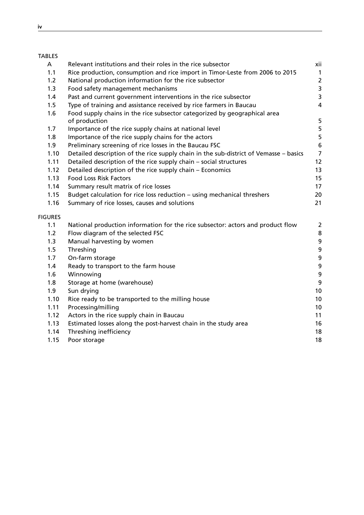| A              | Relevant institutions and their roles in the rice subsector                           | xii              |
|----------------|---------------------------------------------------------------------------------------|------------------|
| 1.1            | Rice production, consumption and rice import in Timor-Leste from 2006 to 2015         | $\mathbf{1}$     |
| 1.2            | National production information for the rice subsector                                | $\overline{2}$   |
| 1.3            | Food safety management mechanisms                                                     | 3                |
| 1.4            | Past and current government interventions in the rice subsector                       | 3                |
| 1.5            | Type of training and assistance received by rice farmers in Baucau                    | 4                |
| 1.6            | Food supply chains in the rice subsector categorized by geographical area             |                  |
|                | of production                                                                         | 5                |
| 1.7            | Importance of the rice supply chains at national level                                | 5                |
| 1.8            | Importance of the rice supply chains for the actors                                   | 5                |
| 1.9            | Preliminary screening of rice losses in the Baucau FSC                                | $\boldsymbol{6}$ |
| 1.10           | Detailed description of the rice supply chain in the sub-district of Vemasse - basics | $\overline{7}$   |
| 1.11           | Detailed description of the rice supply chain - social structures                     | 12               |
| 1.12           | Detailed description of the rice supply chain - Economics                             | 13               |
| 1.13           | <b>Food Loss Risk Factors</b>                                                         | 15               |
| 1.14           | Summary result matrix of rice losses                                                  | 17               |
| 1.15           | Budget calculation for rice loss reduction - using mechanical threshers               | 20               |
| 1.16           | Summary of rice losses, causes and solutions                                          | 21               |
| <b>FIGURES</b> |                                                                                       |                  |
| 1.1            | National production information for the rice subsector: actors and product flow       | $\overline{2}$   |
| 1.2            | Flow diagram of the selected FSC                                                      | $\bf 8$          |
| 1.3            | Manual harvesting by women                                                            | 9                |
| 1.5            | Threshing                                                                             | $\boldsymbol{9}$ |
| 1.7            | On-farm storage                                                                       | 9                |
| 1.4            | Ready to transport to the farm house                                                  | $\boldsymbol{9}$ |
| 1.6            | Winnowing                                                                             | $\boldsymbol{9}$ |
| 1.8            | Storage at home (warehouse)                                                           | 9                |
| 1.9            | Sun drying                                                                            | 10               |
| 1.10           | Rice ready to be transported to the milling house                                     | 10               |
| 1.11           | Processing/milling                                                                    | 10               |
| 1.12           | Actors in the rice supply chain in Baucau                                             | 11               |
| 1.13           | Estimated losses along the post-harvest chain in the study area                       | 16               |
| 1.14           | Threshing inefficiency                                                                | 18               |
| 1.15           | Poor storage                                                                          | 18               |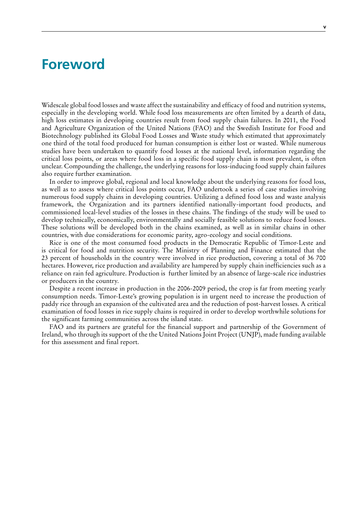## <span id="page-6-0"></span>**Foreword**

Widescale global food losses and waste affect the sustainability and efficacy of food and nutrition systems, especially in the developing world. While food loss measurements are often limited by a dearth of data, high loss estimates in developing countries result from food supply chain failures. In 2011, the Food and Agriculture Organization of the United Nations (FAO) and the Swedish Institute for Food and Biotechnology published its Global Food Losses and Waste study which estimated that approximately one third of the total food produced for human consumption is either lost or wasted. While numerous studies have been undertaken to quantify food losses at the national level, information regarding the critical loss points, or areas where food loss in a specific food supply chain is most prevalent, is often unclear. Compounding the challenge, the underlying reasons for loss-inducing food supply chain failures also require further examination.

In order to improve global, regional and local knowledge about the underlying reasons for food loss, as well as to assess where critical loss points occur, FAO undertook a series of case studies involving numerous food supply chains in developing countries. Utilizing a defined food loss and waste analysis framework, the Organization and its partners identified nationally-important food products, and commissioned local-level studies of the losses in these chains. The findings of the study will be used to develop technically, economically, environmentally and socially feasible solutions to reduce food losses. These solutions will be developed both in the chains examined, as well as in similar chains in other countries, with due considerations for economic parity, agro-ecology and social conditions.

Rice is one of the most consumed food products in the Democratic Republic of Timor-Leste and is critical for food and nutrition security. The Ministry of Planning and Finance estimated that the 23 percent of households in the country were involved in rice production, covering a total of 36 700 hectares. However, rice production and availability are hampered by supply chain inefficiencies such as a reliance on rain fed agriculture. Production is further limited by an absence of large-scale rice industries or producers in the country.

Despite a recent increase in production in the 2006-2009 period, the crop is far from meeting yearly consumption needs. Timor-Leste's growing population is in urgent need to increase the production of paddy rice through an expansion of the cultivated area and the reduction of post-harvest losses. A critical examination of food losses in rice supply chains is required in order to develop worthwhile solutions for the significant farming communities across the island state.

FAO and its partners are grateful for the financial support and partnership of the Government of Ireland, who through its support of the the United Nations Joint Project (UNJP), made funding available for this assessment and final report.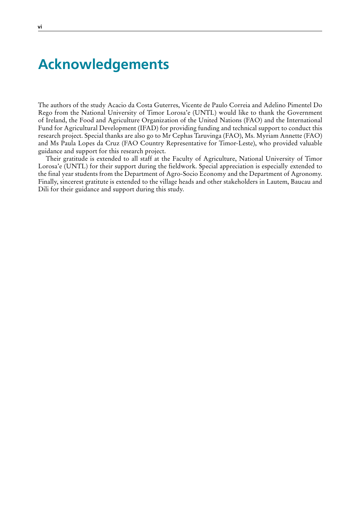## **Acknowledgements**

The authors of the study Acacio da Costa Guterres, Vicente de Paulo Correia and Adelino Pimentel Do Rego from the National University of Timor Lorosa'e (UNTL) would like to thank the Government of Ireland, the Food and Agriculture Organization of the United Nations (FAO) and the International Fund for Agricultural Development (IFAD) for providing funding and technical support to conduct this research project. Special thanks are also go to Mr Cephas Taruvinga (FAO), Ms. Myriam Annette (FAO) and Ms Paula Lopes da Cruz (FAO Country Representative for Timor-Leste), who provided valuable guidance and support for this research project.

Their gratitude is extended to all staff at the Faculty of Agriculture, National University of Timor Lorosa'e (UNTL) for their support during the fieldwork. Special appreciation is especially extended to the final year students from the Department of Agro-Socio Economy and the Department of Agronomy. Finally, sincerest gratitute is extended to the village heads and other stakeholders in Lautem, Baucau and Dili for their guidance and support during this study.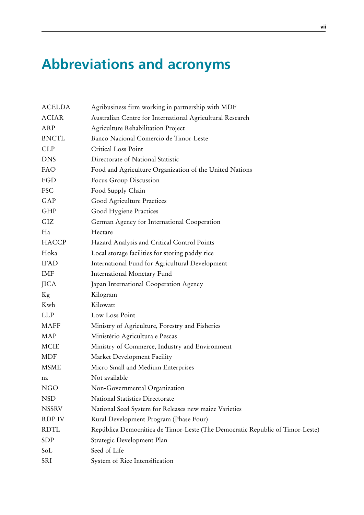# <span id="page-8-0"></span>**Abbreviations and acronyms**

| ACELDA       | Agribusiness firm working in partnership with MDF                             |
|--------------|-------------------------------------------------------------------------------|
| <b>ACIAR</b> | Australian Centre for International Agricultural Research                     |
| ARP          | Agriculture Rehabilitation Project                                            |
| <b>BNCTL</b> | Banco Nacional Comercio de Timor-Leste                                        |
| CLP          | Critical Loss Point                                                           |
| <b>DNS</b>   | Directorate of National Statistic                                             |
| FAO          | Food and Agriculture Organization of the United Nations                       |
| FGD          | Focus Group Discussion                                                        |
| <b>FSC</b>   | Food Supply Chain                                                             |
| GAP          | Good Agriculture Practices                                                    |
| GHP          | Good Hygiene Practices                                                        |
| GIZ          | German Agency for International Cooperation                                   |
| Ha           | Hectare                                                                       |
| <b>HACCP</b> | Hazard Analysis and Critical Control Points                                   |
| Hoka         | Local storage facilities for storing paddy rice                               |
| <b>IFAD</b>  | International Fund for Agricultural Development                               |
| IMF          | International Monetary Fund                                                   |
| <b>JICA</b>  | Japan International Cooperation Agency                                        |
| Kg           | Kilogram                                                                      |
| Kwh          | Kilowatt                                                                      |
| <b>LLP</b>   | Low Loss Point                                                                |
| MAFF         | Ministry of Agriculture, Forestry and Fisheries                               |
| MAP          | Ministério Agricultura e Pescas                                               |
| <b>MCIE</b>  | Ministry of Commerce, Industry and Environment                                |
| MDF          | Market Development Facility                                                   |
| <b>MSME</b>  | Micro Small and Medium Enterprises                                            |
| na           | Not available                                                                 |
| <b>NGO</b>   | Non-Governmental Organization                                                 |
| <b>NSD</b>   | National Statistics Directorate                                               |
| <b>NSSRV</b> | National Seed System for Releases new maize Varieties                         |
| RDP IV       | Rural Development Program (Phase Four)                                        |
| <b>RDTL</b>  | República Democrática de Timor-Leste (The Democratic Republic of Timor-Leste) |
| <b>SDP</b>   | Strategic Development Plan                                                    |
| SoL          | Seed of Life                                                                  |
| SRI          | System of Rice Intensification                                                |
|              |                                                                               |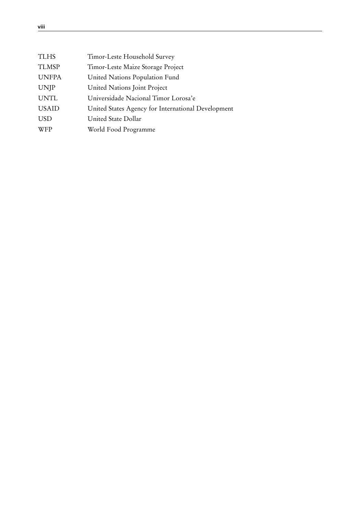<span id="page-9-0"></span>

| <b>TLHS</b>  | Timor-Leste Household Survey                       |
|--------------|----------------------------------------------------|
| <b>TLMSP</b> | Timor-Leste Maize Storage Project                  |
| <b>UNFPA</b> | United Nations Population Fund                     |
| <b>UNJP</b>  | United Nations Joint Project                       |
| <b>UNTL</b>  | Universidade Nacional Timor Lorosa'e               |
| <b>USAID</b> | United States Agency for International Development |
| <b>USD</b>   | United State Dollar                                |
| <b>WFP</b>   | World Food Programme                               |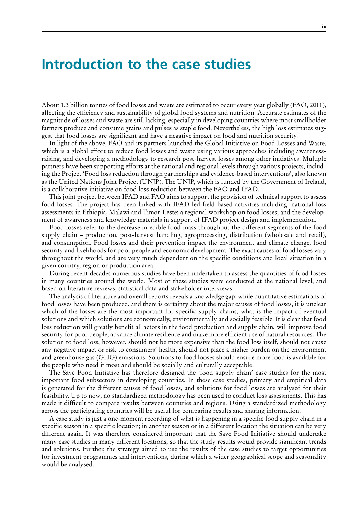## <span id="page-10-0"></span>**Introduction to the case studies**

About 1.3 billion tonnes of food losses and waste are estimated to occur every year globally (FAO, 2011), affecting the efficiency and sustainability of global food systems and nutrition. Accurate estimates of the magnitude of losses and waste are still lacking, especially in developing countries where most smallholder farmers produce and consume grains and pulses as staple food. Nevertheless, the high loss estimates suggest that food losses are significant and have a negative impact on food and nutrition security.

In light of the above, FAO and its partners launched the Global Initiative on Food Losses and Waste, which is a global effort to reduce food losses and waste using various approaches including awarenessraising, and developing a methodology to research post-harvest losses among other initiatives. Multiple partners have been supporting efforts at the national and regional levels through various projects, including the Project 'Food loss reduction through partnerships and evidence-based interventions', also known as the United Nations Joint Project (UNJP). The UNJP, which is funded by the Government of Ireland, is a collaborative initiative on food loss reduction between the FAO and IFAD.

This joint project between IFAD and FAO aims to support the provision of technical support to assess food losses. The project has been linked with IFAD-led field based activities including: national loss assessments in Ethiopia, Malawi and Timor-Leste; a regional workshop on food losses; and the development of awareness and knowledge materials in support of IFAD project design and implementation.

Food losses refer to the decrease in edible food mass throughout the different segments of the food supply chain – production, post-harvest handling, agroprocessing, distribution (wholesale and retail), and consumption. Food losses and their prevention impact the environment and climate change, food security and livelihoods for poor people and economic development. The exact causes of food losses vary throughout the world, and are very much dependent on the specific conditions and local situation in a given country, region or production area.

During recent decades numerous studies have been undertaken to assess the quantities of food losses in many countries around the world. Most of these studies were conducted at the national level, and based on literature reviews, statistical data and stakeholder interviews.

The analysis of literature and overall reports reveals a knowledge gap: while quantitative estimations of food losses have been produced, and there is certainty about the major causes of food losses, it is unclear which of the losses are the most important for specific supply chains, what is the impact of eventual solutions and which solutions are economically, environmentally and socially feasible. It is clear that food loss reduction will greatly benefit all actors in the food production and supply chain, will improve food security for poor people, advance climate resilience and make more efficient use of natural resources. The solution to food loss, however, should not be more expensive than the food loss itself, should not cause any negative impact or risk to consumers' health, should not place a higher burden on the environment and greenhouse gas (GHG) emissions. Solutions to food looses should ensure more food is available for the people who need it most and should be socially and culturally acceptable.

The Save Food Initiative has therefore designed the 'food supply chain' case studies for the most important food subsectors in developing countries. In these case studies, primary and empirical data is generated for the different causes of food losses, and solutions for food losses are analysed for their feasibility. Up to now, no standardized methodology has been used to conduct loss assessments. This has made it difficult to compare results between countries and regions. Using a standardized methodology across the participating countries will be useful for comparing results and sharing information.

A case study is just a one-moment recording of what is happening in a specific food supply chain in a specific season in a specific location; in another season or in a different location the situation can be very different again. It was therefore considered important that the Save Food Initiative should undertake many case studies in many different locations, so that the study results would provide significant trends and solutions. Further, the strategy aimed to use the results of the case studies to target opportunities for investment programmes and interventions, during which a wider geographical scope and seasonality would be analysed.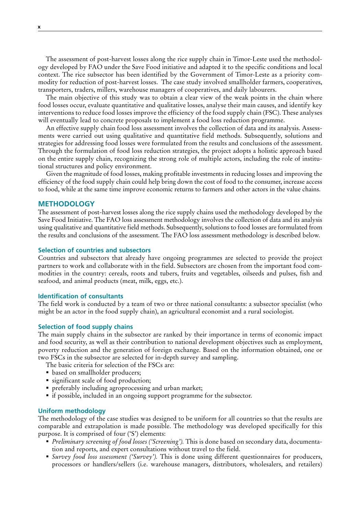The assessment of post-harvest losses along the rice supply chain in Timor-Leste used the methodology developed by FAO under the Save Food initiative and adapted it to the specific conditions and local context. The rice subsector has been identified by the Government of Timor-Leste as a priority commodity for reduction of post-harvest losses. The case study involved smallholder farmers, cooperatives, transporters, traders, millers, warehouse managers of cooperatives, and daily labourers.

The main objective of this study was to obtain a clear view of the weak points in the chain where food losses occur, evaluate quantitative and qualitative losses, analyse their main causes, and identify key interventions to reduce food losses improve the efficiency of the food supply chain (FSC). These analyses will eventually lead to concrete proposals to implement a food loss reduction programme.

An effective supply chain food loss assessment involves the collection of data and its analysis. Assessments were carried out using qualitative and quantitative field methods. Subsequently, solutions and strategies for addressing food losses were formulated from the results and conclusions of the assessment. Through the formulation of food loss reduction strategies, the project adopts a holistic approach based on the entire supply chain, recognizing the strong role of multiple actors, including the role of institutional structures and policy environment.

Given the magnitude of food losses, making profitable investments in reducing losses and improving the efficiency of the food supply chain could help bring down the cost of food to the consumer, increase access to food, while at the same time improve economic returns to farmers and other actors in the value chains.

## **METHODOLOGY**

The assessment of post-harvest losses along the rice supply chains used the methodology developed by the Save Food Initiative. The FAO loss assessment methodology involves the collection of data and its analysis using qualitative and quantitative field methods. Subsequently, solutions to food losses are formulated from the results and conclusions of the assessment. The FAO loss assessment methodology is described below.

## **Selection of countries and subsectors**

Countries and subsectors that already have ongoing programmes are selected to provide the project partners to work and collaborate with in the field. Subsectors are chosen from the important food commodities in the country: cereals, roots and tubers, fruits and vegetables, oilseeds and pulses, fish and seafood, and animal products (meat, milk, eggs, etc.).

#### **Identification of consultants**

The field work is conducted by a team of two or three national consultants: a subsector specialist (who might be an actor in the food supply chain), an agricultural economist and a rural sociologist.

## **Selection of food supply chains**

The main supply chains in the subsector are ranked by their importance in terms of economic impact and food security, as well as their contribution to national development objectives such as employment, poverty reduction and the generation of foreign exchange. Based on the information obtained, one or two FSCs in the subsector are selected for in-depth survey and sampling.

- The basic criteria for selection of the FSCs are:
- based on smallholder producers;
- significant scale of food production;
- preferably including agroprocessing and urban market;
- if possible, included in an ongoing support programme for the subsector.

#### **Uniform methodology**

The methodology of the case studies was designed to be uniform for all countries so that the results are comparable and extrapolation is made possible. The methodology was developed specifically for this purpose. It is comprised of four ('S') elements:

- *Preliminary screening of food losses ('Screening').* This is done based on secondary data, documentation and reports, and expert consultations without travel to the field.
- *Survey food loss sssessment ('Survey').* This is done using different questionnaires for producers, processors or handlers/sellers (i.e. warehouse managers, distributors, wholesalers, and retailers)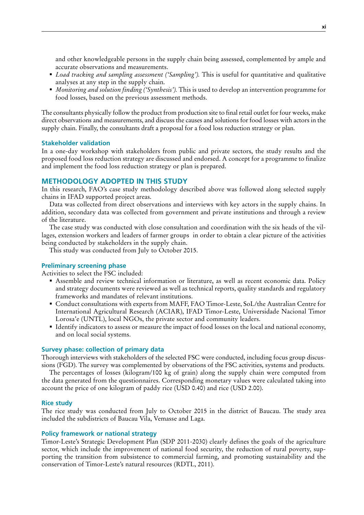and other knowledgeable persons in the supply chain being assessed, complemented by ample and accurate observations and measurements.

- *Load tracking and sampling assessment ('Sampling').* This is useful for quantitative and qualitative analyses at any step in the supply chain.
- *Monitoring and solution finding ('Synthesis').* This is used to develop an intervention programme for food losses, based on the previous assessment methods.

The consultants physically follow the product from production site to final retail outlet for four weeks, make direct observations and measurements, and discuss the causes and solutions for food losses with actors in the supply chain. Finally, the consultants draft a proposal for a food loss reduction strategy or plan.

## **Stakeholder validation**

In a one-day workshop with stakeholders from public and private sectors, the study results and the proposed food loss reduction strategy are discussed and endorsed. A concept for a programme to finalize and implement the food loss reduction strategy or plan is prepared.

## **METHODOLOGY ADOPTED IN THIS STUDY**

In this research, FAO's case study methodology described above was followed along selected supply chains in IFAD supported project areas.

Data was collected from direct observations and interviews with key actors in the supply chains. In addition, secondary data was collected from government and private institutions and through a review of the literature.

The case study was conducted with close consultation and coordination with the six heads of the villages, extension workers and leaders of farmer groups in order to obtain a clear picture of the activities being conducted by stakeholders in the supply chain.

This study was conducted from July to October 2015.

### **Preliminary screening phase**

Activities to select the FSC included:

- Assemble and review technical information or literature, as well as recent economic data. Policy and strategy documents were reviewed as well as technical reports, quality standards and regulatory frameworks and mandates of relevant institutions.
- Conduct consultations with experts from MAFF, FAO Timor-Leste, SoL/the Australian Centre for International Agricultural Research (ACIAR), IFAD Timor-Leste, Universidade Nacional Timor Lorosa'e (UNTL), local NGOs, the private sector and community leaders.
- Identify indicators to assess or measure the impact of food losses on the local and national economy, and on local social systems.

### **Survey phase: collection of primary data**

Thorough interviews with stakeholders of the selected FSC were conducted, including focus group discussions (FGD). The survey was complemented by observations of the FSC activities, systems and products.

The percentages of losses (kilogram/100 kg of grain) along the supply chain were computed from the data generated from the questionnaires. Corresponding monetary values were calculated taking into account the price of one kilogram of paddy rice (USD 0.40) and rice (USD 2.00).

### **Rice study**

The rice study was conducted from July to October 2015 in the district of Baucau. The study area included the subdistricts of Baucau Vila, Vemasse and Laga.

### **Policy framework or national strategy**

Timor-Leste's Strategic Development Plan (SDP 2011-2030) clearly defines the goals of the agriculture sector, which include the improvement of national food security, the reduction of rural poverty, supporting the transition from subsistence to commercial farming, and promoting sustainability and the conservation of Timor-Leste's natural resources (RDTL, 2011).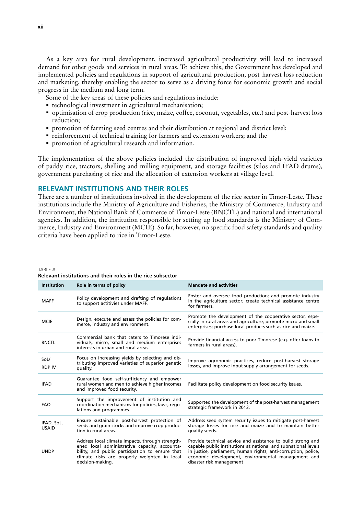As a key area for rural development, increased agricultural productivity will lead to increased demand for other goods and services in rural areas. To achieve this, the Government has developed and implemented policies and regulations in support of agricultural production, post-harvest loss reduction and marketing, thereby enabling the sector to serve as a driving force for economic growth and social progress in the medium and long term.

Some of the key areas of these policies and regulations include:

- technological investment in agricultural mechanisation;
- optimisation of crop production (rice, maize, coffee, coconut, vegetables, etc.) and post-harvest loss reduction;
- promotion of farming seed centres and their distribution at regional and district level;
- reinforcement of technical training for farmers and extension workers; and the
- promotion of agricultural research and information.

The implementation of the above policies included the distribution of improved high-yield varieties of paddy rice, tractors, shelling and milling equipment, and storage facilities (silos and IFAD drums), government purchasing of rice and the allocation of extension workers at village level.

## **RELEVANT INSTITUTIONS AND THEIR ROLES**

There are a number of institutions involved in the development of the rice sector in Timor-Leste. These institutions include the Ministry of Agriculture and Fisheries, the Ministry of Commerce, Industry and Environment, the National Bank of Commerce of Timor-Leste (BNCTL) and national and international agencies. In addition, the institution responsible for setting up food standards is the Ministry of Commerce, Industry and Environment (MCIE). So far, however, no specific food safety standards and quality criteria have been applied to rice in Timor-Leste.

TABLE A

| <b>Institution</b>         | Role in terms of policy                                                                                                                                                                                                  | <b>Mandate and activities</b>                                                                                                                                                                                                                                                     |
|----------------------------|--------------------------------------------------------------------------------------------------------------------------------------------------------------------------------------------------------------------------|-----------------------------------------------------------------------------------------------------------------------------------------------------------------------------------------------------------------------------------------------------------------------------------|
| <b>MAFF</b>                | Policy development and drafting of regulations<br>to support actitivies under MAFF.                                                                                                                                      | Foster and oversee food production; and promote industry<br>in the agriculture sector; create technical assistance centre<br>for farmers.                                                                                                                                         |
| <b>MCIE</b>                | Design, execute and assess the policies for com-<br>merce, industry and environment.                                                                                                                                     | Promote the development of the cooperative sector, espe-<br>cially in rural areas and agriculture; promote micro and small<br>enterprises; purchase local products such as rice and maize.                                                                                        |
| <b>BNCTL</b>               | Commercial bank that caters to Timorese indi-<br>viduals, micro, small and medium enterprises<br>interests in urban and rural areas.                                                                                     | Provide financial access to poor Timorese (e.g. offer loans to<br>farmers in rural areas).                                                                                                                                                                                        |
| SoL/<br><b>RDP IV</b>      | Focus on increasing yields by selecting and dis-<br>tributing improved varieties of superior genetic<br>quality.                                                                                                         | Improve agronomic practices, reduce post-harvest storage<br>losses, and improve input supply arrangement for seeds.                                                                                                                                                               |
| <b>IFAD</b>                | Guarantee food self-sufficiency and empower<br>rural women and men to achieve higher incomes<br>and improved food security.                                                                                              | Facilitate policy development on food security issues.                                                                                                                                                                                                                            |
| <b>FAO</b>                 | Support the improvement of institution and<br>coordination mechanisms for policies, laws, requ-<br>lations and programmes.                                                                                               | Supported the development of the post-harvest management<br>strategic framework in 2013.                                                                                                                                                                                          |
| IFAD, SoL,<br><b>USAID</b> | Ensure sustainable post-harvest protection of<br>seeds and grain stocks and improve crop produc-<br>tion in rural areas.                                                                                                 | Address seed system security issues to mitigate post-harvest<br>storage losses for rice and maize and to maintain better<br>quality seeds.                                                                                                                                        |
| <b>UNDP</b>                | Address local climate impacts, through strength-<br>ened local administrative capacity, accounta-<br>bility, and public participation to ensure that<br>climate risks are properly weighted in local<br>decision-making. | Provide technical advice and assistance to build strong and<br>capable public institutions at national and subnational levels<br>in justice, parliament, human rights, anti-corruption, police,<br>economic development, environmental management and<br>disaster risk management |

#### **Relevant institutions and their roles in the rice subsector**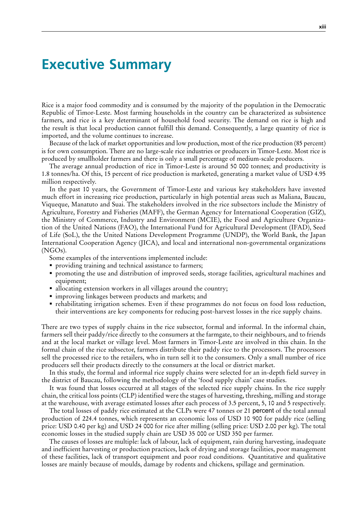## <span id="page-14-0"></span>**Executive Summary**

Rice is a major food commodity and is consumed by the majority of the population in the Democratic Republic of Timor-Leste. Most farming households in the country can be characterized as subsistence farmers, and rice is a key determinant of household food security. The demand on rice is high and the result is that local production cannot fulfill this demand. Consequently, a large quantity of rice is imported, and the volume continues to increase.

Because of the lack of market opportunities and low production, most of the rice production (85 percent) is for own consumption. There are no large-scale rice industries or producers in Timor-Leste. Most rice is produced by smallholder farmers and there is only a small percentage of medium-scale producers.

The average annual production of rice in Timor-Leste is around 50 000 tonnes; and productivity is 1.8 tonnes/ha. Of this, 15 percent of rice production is marketed, generating a market value of USD 4.95 million respectively.

In the past 10 years, the Government of Timor-Leste and various key stakeholders have invested much effort in increasing rice production, particularly in high potential areas such as Maliana, Baucau, Viqueque, Manatuto and Suai. The stakeholders involved in the rice subsectors include the Ministry of Agriculture, Forestry and Fisheries (MAFF), the German Agency for International Cooperation (GIZ), the Ministry of Commerce, Industry and Environment (MCIE), the Food and Agriculture Organization of the United Nations (FAO), the International Fund for Agricultural Development (IFAD), Seed of Life (SoL), the the United Nations Development Programme (UNDP), the World Bank, the Japan International Cooperation Agency (JICA), and local and international non-governmental organizations (NGOs).

Some examples of the interventions implemented include:

- **providing training and technical assistance to farmers;**
- promoting the use and distribution of improved seeds, storage facilities, agricultural machines and equipment;
- allocating extension workers in all villages around the country;
- improving linkages between products and markets; and
- rehabilitating irrigation schemes. Even if these programmes do not focus on food loss reduction, their interventions are key components for reducing post-harvest losses in the rice supply chains.

There are two types of supply chains in the rice subsector, formal and informal. In the informal chain, farmers sell their paddy/rice directly to the consumers at the farmgate, to their neighbours, and to friends and at the local market or village level. Most farmers in Timor-Leste are involved in this chain. In the formal chain of the rice subsector, farmers distribute their paddy rice to the processors. The processors sell the processed rice to the retailers, who in turn sell it to the consumers. Only a small number of rice producers sell their products directly to the consumers at the local or district market.

In this study, the formal and informal rice supply chains were selected for an in-depth field survey in the district of Baucau, following the methodology of the 'food supply chain' case studies.

It was found that losses occurred at all stages of the selected rice supply chains. In the rice supply chain, the critical loss points (CLP) identified were the stages of harvesting, threshing, milling and storage at the warehouse, with average estimated losses after each process of 3.5 percent, 5, 10 and 5 respectively.

The total losses of paddy rice estimated at the CLPs were 47 tonnes or 21 percent of the total annual production of 224.4 tonnes, which represents an economic loss of USD 10 900 for paddy rice (selling price: USD 0.40 per kg) and USD 24 000 for rice after milling (selling price: USD 2.00 per kg). The total economic losses in the studied supply chain are USD 35 000 or USD 350 per farmer.

The causes of losses are multiple: lack of labour, lack of equipment, rain during harvesting, inadequate and inefficient harvesting or production practices, lack of drying and storage facilities, poor management of these facilities, lack of transport equipment and poor road conditions. Quantitative and qualitative losses are mainly because of moulds, damage by rodents and chickens, spillage and germination.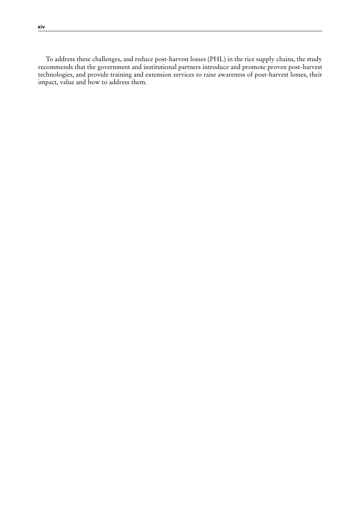To address these challenges, and reduce post-harvest losses (PHL) in the rice supply chains, the study recommends that the government and institutional partners introduce and promote proven post-harvest technologies, and provide training and extension services to raise awareness of post-harvest losses, their impact, value and how to address them.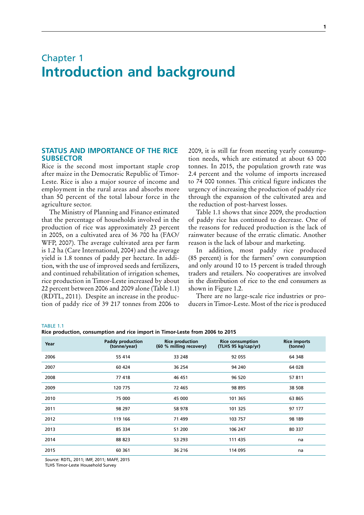## <span id="page-16-0"></span>Chapter 1 **Introduction and background**

## **STATUS AND IMPORTANCE OF THE RICE SUBSECTOR**

Rice is the second most important staple crop after maize in the Democratic Republic of Timor-Leste. Rice is also a major source of income and employment in the rural areas and absorbs more than 50 percent of the total labour force in the agriculture sector.

The Ministry of Planning and Finance estimated that the percentage of households involved in the production of rice was approximately 23 percent in 2005, on a cultivated area of 36 700 ha (FAO/ WFP, 2007). The average cultivated area per farm is 1.2 ha (Care International, 2004) and the average yield is 1.8 tonnes of paddy per hectare. In addition, with the use of improved seeds and fertilizers, and continued rehabilitation of irrigation schemes, rice production in Timor-Leste increased by about 22 percent between 2006 and 2009 alone (Table 1.1) (RDTL, 2011). Despite an increase in the production of paddy rice of 39 217 tonnes from 2006 to 2009, it is still far from meeting yearly consumption needs, which are estimated at about 63 000 tonnes. In 2015, the population growth rate was 2.4 percent and the volume of imports increased to 74 000 tonnes. This critical figure indicates the urgency of increasing the production of paddy rice through the expansion of the cultivated area and the reduction of post-harvest losses.

Table 1.1 shows that since 2009, the production of paddy rice has continued to decrease. One of the reasons for reduced production is the lack of rainwater because of the erratic climatic. Another reason is the lack of labour and marketing.

In addition, most paddy rice produced (85 percent) is for the farmers' own consumption and only around 10 to 15 percent is traded through traders and retailers. No cooperatives are involved in the distribution of rice to the end consumers as shown in Figure 1.2.

There are no large-scale rice industries or producers in Timor-Leste. Most of the rice is produced

TABLE 1.1

**Rice production, consumption and rice import in Timor-Leste from 2006 to 2015**

| production, consumption and nec import in rimor Ecste nomi Eveo to Evis |                                  |                                                   |                                                |                                |  |  |  |
|-------------------------------------------------------------------------|----------------------------------|---------------------------------------------------|------------------------------------------------|--------------------------------|--|--|--|
| Year                                                                    | Paddy production<br>(tonne/year) | <b>Rice production</b><br>(60 % milling recovery) | <b>Rice consumption</b><br>(TLHS 95 kg/cap/yr) | <b>Rice imports</b><br>(tonne) |  |  |  |
| 2006                                                                    | 55 414                           | 33 248                                            | 92 055                                         | 64 348                         |  |  |  |
| 2007                                                                    | 60 424                           | 36 254                                            | 94 240                                         | 64 028                         |  |  |  |
| 2008                                                                    | 77418                            | 46 451                                            | 96 520                                         | 57 811                         |  |  |  |
| 2009                                                                    | 120 775                          | 72 465                                            | 98 895                                         | 38 508                         |  |  |  |
| 2010                                                                    | 75 000                           | 45 000                                            | 101 365                                        | 63 865                         |  |  |  |
| 2011                                                                    | 98 297                           | 58 978                                            | 101 325                                        | 97 177                         |  |  |  |
| 2012                                                                    | 119 166                          | 71 499                                            | 103 757                                        | 98 189                         |  |  |  |
| 2013                                                                    | 85 334                           | 51 200                                            | 106 247                                        | 80 337                         |  |  |  |
| 2014                                                                    | 88 823                           | 53 293                                            | 111 435                                        | na                             |  |  |  |
| 2015                                                                    | 60 361                           | 36 216                                            | 114 095                                        | na                             |  |  |  |
|                                                                         |                                  |                                                   |                                                |                                |  |  |  |

*Source:* RDTL, 2011; IMF, 2011; MAFF, 2015

TLHS Timor-Leste Household Survey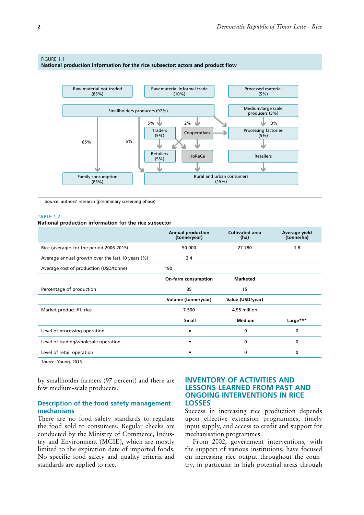### <span id="page-17-0"></span>FIGURE 1.1

**National production information for the rice subsector: actors and product flow**



*Source:* authors' research (preliminary screening phase)

#### TARIF<sub>12</sub>

#### **National production information for the rice subsector**

|                                                  | <b>Annual production</b><br>(tonne/year) | <b>Cultivated area</b><br>(ha) | Average yield<br>(tonne/ha) |
|--------------------------------------------------|------------------------------------------|--------------------------------|-----------------------------|
| Rice (averages for the period 2006-2015)         | 50 000                                   | 27 780                         | 1.8                         |
| Average annual growth over the last 10 years (%) | 2.4                                      |                                |                             |
| Average cost of production (USD/tonne)           | 190                                      |                                |                             |
|                                                  | On-farm consumption                      | <b>Marketed</b>                |                             |
| Percentage of production                         | 85                                       | 15                             |                             |
|                                                  | Volume (tonne/year)                      | Value (USD/year)               |                             |
| Market product #1, rice                          | 7 500                                    | 4.95 million                   |                             |
|                                                  | <b>Small</b>                             | <b>Medium</b>                  | Large***                    |
| Level of processing operation                    |                                          | 0                              | 0                           |
| Level of trading/wholesale operation             |                                          | 0                              | 0                           |
| Level of retail operation                        |                                          | 0                              | 0                           |
|                                                  |                                          |                                |                             |

*Source*: Young, 2013

by smallholder farmers (97 percent) and there are few medium-scale producers.

## **Description of the food safety management mechanisms**

There are no food safety standards to regulate the food sold to consumers. Regular checks are conducted by the Ministry of Commerce, Industry and Environment (MCIE), which are mostly limited to the expiration date of imported foods. No specific food safety and quality criteria and standards are applied to rice.

## **INVENTORY OF ACTIVITIES AND LESSONS LEARNED FROM PAST AND ONGOING INTERVENTIONS IN RICE LOSSES**

Success in increasing rice production depends upon effective extension programmes, timely input supply, and access to credit and support for mechanisation programmes.

From 2002, government interventions, with the support of various institutions, have focused on increasing rice output throughout the country, in particular in high potential areas through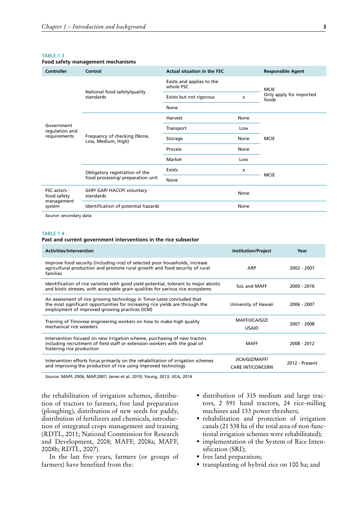<span id="page-18-0"></span>

| Food safety management mechanisms |  |
|-----------------------------------|--|
|-----------------------------------|--|

| Controller                                          | Control                                            | Actual situation in the FSC            |             | <b>Responsible Agent</b> |                                  |  |
|-----------------------------------------------------|----------------------------------------------------|----------------------------------------|-------------|--------------------------|----------------------------------|--|
|                                                     |                                                    | Exists and applies to the<br>whole FSC |             | <b>MCIE</b>              |                                  |  |
|                                                     | National food safety/quality<br>standards          | Exists but not rigorous<br>X           |             |                          | Only apply for imported<br>foods |  |
|                                                     |                                                    | None                                   |             |                          |                                  |  |
|                                                     |                                                    | Harvest                                | None        |                          |                                  |  |
| Government<br>regulation and                        | Frequency of checking (None,<br>Low, Medium, High) | Transport                              | Low         |                          |                                  |  |
| requirements                                        |                                                    | Storage                                | None        | <b>MCIE</b>              |                                  |  |
|                                                     |                                                    | Process                                | None        |                          |                                  |  |
|                                                     |                                                    | Market                                 | Low         |                          |                                  |  |
|                                                     | Obligatory registration of the                     | Exists                                 | X           |                          |                                  |  |
|                                                     | food processing/ preparation unit                  | None                                   | <b>MCIE</b> |                          |                                  |  |
| FSC actors -<br>food safety<br>management<br>system | GHP/ GAP/ HACCP/ voluntary<br>standards            |                                        | None        |                          |                                  |  |
|                                                     | Identification of potential hazards                |                                        | None        |                          |                                  |  |
|                                                     |                                                    |                                        |             |                          |                                  |  |

*Source*: secondary data

### TABLE 1.4

#### **Past and current government interventions in the rice subsector**

| <b>Activities/Intervention</b>                                                                                                                                                                            | <b>Institution/Project</b>                | Year           |
|-----------------------------------------------------------------------------------------------------------------------------------------------------------------------------------------------------------|-------------------------------------------|----------------|
| Improve food security (including rice) of selected poor households, increase<br>agricultural production and promote rural growth and food security of rural<br>families                                   | ARP                                       | 2002 - 2007    |
| Identification of rice varieties with good yield potential, tolerant to major abiotic<br>and biotic stresses, with acceptable grain qualities for various rice ecosystems                                 | SoL and MAFF                              | 2000 - 2016    |
| An assessment of rice growing technology in Timor-Leste concluded that<br>the most significant opportunities for increasing rice yields are through the<br>employment of improved growing practices (ICM) | University of Hawaii                      | 2006 - 2007    |
| Training of Timorese engineering workers on how to make high quality<br>mechanical rice weeders                                                                                                           | MAFF/JICA/GIZ/<br><b>USAID</b>            | 2007 - 2008    |
| Intervention focused on new irrigation scheme, purchasing of new tractors<br>including recruitment of field staff or extension workers with the goal of<br>fostering rice production                      | <b>MAFF</b>                               | 2008 - 2012    |
| Intervention efforts focus primarily on the rehabilitation of irrigation schemes<br>and improving the production of rice using improved technology                                                        | JICA/GIZ/MAFF/<br><b>CARE INT/CONCERN</b> | 2012 - Present |

*Source*: MAFF, 2006, MAP,2007; Janes et al. 2010; Young, 2013; JICA, 2014

the rehabilitation of irrigation schemes, distribution of tractors to farmers, free land preparation (ploughing), distribution of new seeds for paddy, distribution of fertilizers and chemicals, introduction of integrated crops management and training (RDTL, 2011; National Commission for Research and Development, 2008; MAFF, 2008a; MAFF, 2008b; RDTL, 2007).

In the last five years, farmers (or groups of farmers) have benefited from the:

- distribution of 315 medium and large tractors, 2 591 hand tractors, 24 rice-milling machines and 133 power threshers;
- rehabilitation and protection of irrigation canals (21 538 ha of the total area of non-functional irrigation schemes were rehabilitated);
- implementation of the System of Rice Intensification (SRI);
- free land preparation;
- transplanting of hybrid rice on 100 ha; and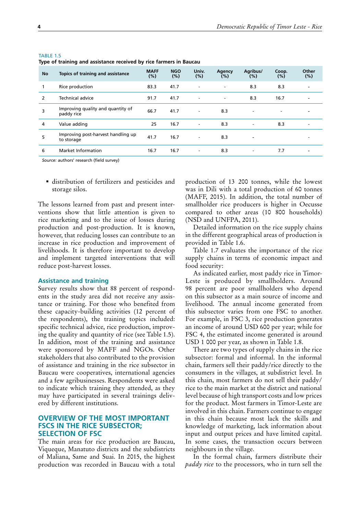|           | iype or training and assistance received by rice rammers in baucau |                       |                   |                          |                          |                          |              |                          |
|-----------|--------------------------------------------------------------------|-----------------------|-------------------|--------------------------|--------------------------|--------------------------|--------------|--------------------------|
| <b>No</b> | Topics of training and assistance                                  | <b>MAFF</b><br>$(\%)$ | <b>NGO</b><br>(%) | Univ.<br>(%)             | Agency<br>$(\%)$         | Agribus/<br>(%)          | Coop.<br>(%) | Other<br>$(\%)$          |
|           | Rice production                                                    | 83.3                  | 41.7              | $\overline{\phantom{a}}$ | $\overline{\phantom{a}}$ | 8.3                      | 8.3          |                          |
| 2         | Technical advice                                                   | 91.7                  | 41.7              | $\overline{\phantom{a}}$ | $\overline{\phantom{a}}$ | 8.3                      | 16.7         | $\overline{\phantom{0}}$ |
| 3         | Improving quality and quantity of<br>paddy rice                    | 66.7                  | 41.7              | $\overline{\phantom{a}}$ | 8.3                      | $\overline{\phantom{a}}$ |              |                          |
| 4         | Value adding                                                       | 25                    | 16.7              | $\overline{\phantom{a}}$ | 8.3                      | $\overline{\phantom{a}}$ | 8.3          | -                        |
| 5         | Improving post-harvest handling up<br>to storage                   | 41.7                  | 16.7              | $\overline{\phantom{a}}$ | 8.3                      | $\overline{\phantom{a}}$ |              |                          |
| 6         | Market Information                                                 | 16.7                  | 16.7              | $\overline{\phantom{a}}$ | 8.3                      | $\overline{\phantom{a}}$ | 7.7          | $\overline{\phantom{0}}$ |

<span id="page-19-0"></span>**Type of training and assistance received by rice farmers in Baucau**

*Source:* authors' research (field survey)

 distribution of fertilizers and pesticides and storage silos.

The lessons learned from past and present interventions show that little attention is given to rice marketing and to the issue of losses during production and post-production. It is known, however, that reducing losses can contribute to an increase in rice production and improvement of livelihoods. It is therefore important to develop and implement targeted interventions that will reduce post-harvest losses.

#### **Assistance and training**

Survey results show that 88 percent of respondents in the study area did not receive any assistance or training. For those who benefited from these capacity-building activities (12 percent of the respondents), the training topics included: specific technical advice, rice production, improving the quality and quantity of rice (see Table 1.5). In addition, most of the training and assistance were sponsored by MAFF and NGOs. Other stakeholders that also contributed to the provision of assistance and training in the rice subsector in Baucau were cooperatives, international agencies and a few agribusinesses. Respondents were asked to indicate which training they attended, as they may have participated in several trainings delivered by different institutions.

## **OVERVIEW OF THE MOST IMPORTANT FSCS IN THE RICE SUBSECTOR; SELECTION OF FSC**

The main areas for rice production are Baucau, Viqueque, Manatuto districts and the subdistricts of Maliana, Same and Suai. In 2015, the highest production was recorded in Baucau with a total

production of 13 200 tonnes, while the lowest was in Dili with a total production of 60 tonnes (MAFF, 2015). In addition, the total number of smallholder rice producers is higher in Oecusse compared to other areas (10 800 households) (NSD and UNFPA, 2011).

Detailed information on the rice supply chains in the different geographical areas of production is provided in Table 1.6.

Table 1.7 evaluates the importance of the rice supply chains in terms of economic impact and food security:

As indicated earlier, most paddy rice in Timor-Leste is produced by smallholders. Around 98 percent are poor smallholders who depend on this subsector as a main source of income and livelihood. The annual income generated from this subsector varies from one FSC to another. For example, in FSC 3, rice production generates an income of around USD 600 per year; while for FSC 4, the estimated income generated is around USD 1 000 per year, as shown in Table 1.8.

There are two types of supply chains in the rice subsector: formal and informal. In the informal chain, farmers sell their paddy/rice directly to the consumers in the villages, at subdistrict level. In this chain, most farmers do not sell their paddy/ rice to the main market at the district and national level because of high transport costs and low prices for the product. Most farmers in Timor-Leste are involved in this chain. Farmers continue to engage in this chain because most lack the skills and knowledge of marketing, lack information about input and output prices and have limited capital. In some cases, the transaction occurs between neighbours in the village.

In the formal chain, farmers distribute their *paddy rice* to the processors, who in turn sell the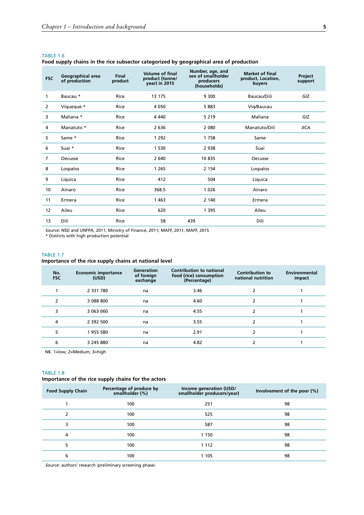<span id="page-20-0"></span>**Food supply chains in the rice subsector categorized by geographical area of production**

| <b>FSC</b>     | Geographical area<br>of production | <b>Final</b><br>product | <b>Volume of final</b><br>product (tonne/<br>year) in 2015 | Number, age, and<br>sex of smallholder<br>producers<br>(households) | <b>Market of final</b><br>product, Location,<br>buyers | Project<br>support |
|----------------|------------------------------------|-------------------------|------------------------------------------------------------|---------------------------------------------------------------------|--------------------------------------------------------|--------------------|
| 1              | Baucau *                           | Rice                    | 13 175                                                     | 9 300                                                               | Baucau/Dili                                            | GIZ                |
| $\overline{2}$ | Viqueque *                         | Rice                    | 4 0 5 0                                                    | 5883                                                                | Vig/Baucau                                             |                    |
| 3              | Maliana *                          | Rice                    | 4 4 4 0                                                    | 5 2 1 9                                                             | Maliana                                                | GIZ                |
| 4              | Manatuto *                         | Rice                    | 2636                                                       | 2 0 8 0                                                             | Manatuto/Dili                                          | <b>JICA</b>        |
| 5              | Same *                             | Rice                    | 1 2 9 2                                                    | 1758                                                                | Same                                                   |                    |
| 6              | Suai *                             | Rice                    | 1 5 3 0                                                    | 2 9 3 8                                                             | Suai                                                   |                    |
| 7              | Oecusse                            | Rice                    | 2 640                                                      | 10835                                                               | Oecusse                                                |                    |
| 8              | Lospalos                           | Rice                    | 1 2 6 5                                                    | 2 1 5 4                                                             | Lospalos                                               |                    |
| 9              | Liquica                            | Rice                    | 412                                                        | 504                                                                 | Liquica                                                |                    |
| 10             | Ainaro                             | Rice                    | 368.5                                                      | 1 0 2 6                                                             | Ainaro                                                 |                    |
| 11             | Ermera                             | Rice                    | 1463                                                       | 2 140                                                               | Ermera                                                 |                    |
| 12             | Aileu                              | Rice                    | 620                                                        | 1 3 9 5                                                             | Aileu                                                  |                    |
| 13             | Dili                               | Rice                    | 58                                                         | 439                                                                 | Dili                                                   |                    |

*Source:* NSD and UNFPA, 2011; Ministry of Finance, 2011; MAFF, 2011; MAFF, 2015 \* Districts with high production potential

## TABLE 1.7 **Importance of the rice supply chains at national level**

| <b>Economic importance</b><br>(USD) | Generation<br>of foreign<br>exchange | <b>Contribution to national</b><br>food (rice) consumption<br>(Percentage) | <b>Contribution to</b><br>national nutrition | Environmental<br>impact |
|-------------------------------------|--------------------------------------|----------------------------------------------------------------------------|----------------------------------------------|-------------------------|
| 2 3 3 1 7 8 0                       | na                                   | 3.46                                                                       |                                              |                         |
| 3 088 800                           | na                                   | 4.60                                                                       |                                              |                         |
| 3 063 060                           | na                                   | 4.55                                                                       |                                              |                         |
| 2 392 500                           | na                                   | 3.55                                                                       |                                              |                         |
| 1955 580                            | na                                   | 2.91                                                                       |                                              |                         |
| 3 245 880                           | na                                   | 4.82                                                                       |                                              |                         |
|                                     |                                      |                                                                            |                                              |                         |

NB. 1=low; 2=Medium; 3=high

## TABLE 1.8

## **Importance of the rice supply chains for the actors**

| <b>Food Supply Chain</b> | Percentage of produce by<br>smallholder (%) | Income generation (USD/<br>smallholder producers/year) | Involvement of the poor $(\%)$ |
|--------------------------|---------------------------------------------|--------------------------------------------------------|--------------------------------|
|                          | 100                                         | 251                                                    | 98                             |
| っ                        | 100                                         | 525                                                    | 98                             |
| 3                        | 100                                         | 587                                                    | 98                             |
| 4                        | 100                                         | 1 1 5 0                                                | 98                             |
| 5                        | 100                                         | 1 1 1 2                                                | 98                             |
| 6                        | 100                                         | 1 1 0 5                                                | 98                             |

*Source:* authors' research (preliminary screening phase)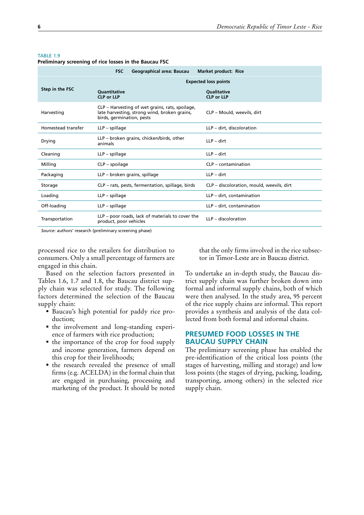|                    | <b>FSC</b><br>Geographical area: Baucau                                                                                      | <b>Market product: Rice</b>               |
|--------------------|------------------------------------------------------------------------------------------------------------------------------|-------------------------------------------|
|                    |                                                                                                                              | <b>Expected loss points</b>               |
| Step in the FSC    | <b>Ouantitative</b><br><b>CLP or LLP</b>                                                                                     | <b>Oualitative</b><br><b>CLP or LLP</b>   |
| Harvesting         | CLP – Harvesting of wet grains, rats, spoilage,<br>late harvesting, strong wind, broken grains,<br>birds, germination, pests | CLP - Mould, weevils, dirt                |
| Homestead transfer | $LLP$ – spillage                                                                                                             | LLP - dirt, discoloration                 |
| Drying             | LLP – broken grains, chicken/birds, other<br>animals                                                                         | $LLP -$ dirt                              |
| Cleaning           | $LLP$ – spillage                                                                                                             | $LLP -$ dirt                              |
| Milling            | $CLP$ – spoilage                                                                                                             | $CLP$ – contamination                     |
| Packaging          | LLP – broken grains, spillage                                                                                                | $LLP -$ dirt                              |
| Storage            | CLP - rats, pests, fermentation, spillage, birds                                                                             | CLP – discoloration, mould, weevils, dirt |
| Loading            | LLP - spillage                                                                                                               | LLP - dirt, contamination                 |
| Off-loading        | LLP - spillage                                                                                                               | LLP - dirt, contamination                 |
| Transportation     | LLP – poor roads, lack of materials to cover the<br>product, poor vehicles                                                   | $IP -$ discoloration                      |

#### <span id="page-21-0"></span>TARIF<sub>19</sub>

**Preliminary screening of rice losses in the Baucau FSC**

*Source:* authors' research (preliminary screening phase)

processed rice to the retailers for distribution to consumers. Only a small percentage of farmers are engaged in this chain.

Based on the selection factors presented in Tables 1.6, 1.7 and 1.8, the Baucau district supply chain was selected for study. The following factors determined the selection of the Baucau supply chain:

- Baucau's high potential for paddy rice production;
- the involvement and long-standing experience of farmers with rice production;
- the importance of the crop for food supply and income generation, farmers depend on this crop for their livelihoods;
- $\blacksquare$  the research revealed the presence of small firms (e.g. ACELDA) in the formal chain that are engaged in purchasing, processing and marketing of the product. It should be noted

that the only firms involved in the rice subsector in Timor-Leste are in Baucau district.

To undertake an in-depth study, the Baucau district supply chain was further broken down into formal and informal supply chains, both of which were then analysed. In the study area, 95 percent of the rice supply chains are informal. This report provides a synthesis and analysis of the data collected from both formal and informal chains.

## **PRESUMED FOOD LOSSES IN THE BAUCAU SUPPLY CHAIN**

The preliminary screening phase has enabled the pre-identification of the critical loss points (the stages of harvesting, milling and storage) and low loss points (the stages of drying, packing, loading, transporting, among others) in the selected rice supply chain.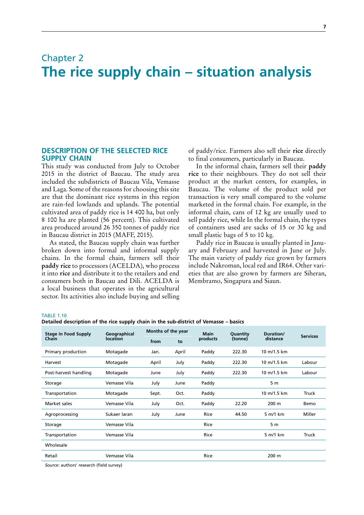## <span id="page-22-0"></span>Chapter 2 **The rice supply chain – situation analysis**

## **DESCRIPTION OF THE SELECTED RICE SUPPLY CHAIN**

This study was conducted from July to October 2015 in the district of Baucau. The study area included the subdistricts of Baucau Vila, Vemasse and Laga. Some of the reasons for choosing this site are that the dominant rice systems in this region are rain-fed lowlands and uplands. The potential cultivated area of paddy rice is 14 400 ha, but only 8 100 ha are planted (56 percent). This cultivated area produced around 26 350 tonnes of paddy rice in Baucau district in 2015 (MAFF, 2015).

As stated, the Baucau supply chain was further broken down into formal and informal supply chains. In the formal chain, farmers sell their **paddy rice** to processors (ACELDA), who process it into **rice** and distribute it to the retailers and end consumers both in Baucau and Dili. ACELDA is a local business that operates in the agricultural sector. Its activities also include buying and selling of paddy/rice. Farmers also sell their **rice** directly to final consumers, particularly in Baucau.

In the informal chain, farmers sell their **paddy rice** to their neighbours. They do not sell their product at the market centers, for examples, in Baucau. The volume of the product sold per transaction is very small compared to the volume marketed in the formal chain. For example, in the informal chain, cans of 12 kg are usually used to sell paddy rice, while In the formal chain, the types of containers used are sacks of 15 or 30 kg and small plastic bags of 5 to 10 kg.

Paddy rice in Baucau is usually planted in January and February and harvested in June or July. The main variety of paddy rice grown by farmers include Nakroman, local red and IR64. Other varieties that are also grown by farmers are Siheran, Membramo, Singapura and Siaun.

#### TABLE 1.10

**Detailed description of the rice supply chain in the sub-district of Vemasse – basics**

| <b>Stage in Food Supply</b> | Geographical    | Months of the year |       | <b>Main</b> | Quantity | Duration/      | <b>Services</b> |
|-----------------------------|-----------------|--------------------|-------|-------------|----------|----------------|-----------------|
| Chain                       | <b>location</b> | from               | to    | products    | (tonne)  | distance       |                 |
| Primary production          | Motagade        | Jan.               | April | Paddy       | 222.30   | 10 m/1.5 km    |                 |
| Harvest                     | Motagade        | April              | July  | Paddy       | 222.30   | 10 m/1.5 km    | Labour          |
| Post-harvest handling       | Motagade        | June               | July  | Paddy       | 222.30   | 10 m/1.5 km    | Labour          |
| Storage                     | Vemasse Vila    | July               | June  | Paddy       |          | 5 <sub>m</sub> |                 |
| Transportation              | Motagade        | Sept.              | Oct.  | Paddy       |          | 10 m/1.5 km    | Truck           |
| Market sales                | Vemasse Vila    | July               | Oct.  | Paddy       | 22.20    | 200 m          | Bemo            |
| Agroprocessing              | Sukaer laran    | July               | June  | <b>Rice</b> | 44.50    | 5 m/1 km       | Miller          |
| Storage                     | Vemasse Vila    |                    |       | Rice        |          | 5 m            |                 |
| Transportation              | Vemasse Vila    |                    |       | Rice        |          | 5 m/1 km       | Truck           |
| Wholesale                   |                 |                    |       |             |          |                |                 |
| Retail                      | Vemasse Vila    |                    |       | Rice        |          | 200 m          |                 |
|                             |                 |                    |       |             |          |                |                 |

*Source:* authors' research (field survey)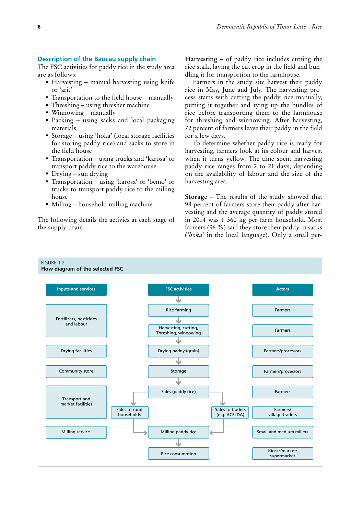## <span id="page-23-0"></span>**Description of the Baucau supply chain**

The FSC activities for paddy rice in the study area are as follows:

- Harvesting manual harvesting using knife or 'arit'
- Transportation to the field house manually
- Threshing using thresher machine
- Winnowing manually
- Packing using sacks and local packaging materials
- Storage using 'hoka' (local storage facilities for storing paddy rice) and sacks to store in the field house
- Transportation using trucks and 'karosa' to transport paddy rice to the warehouse
- Drying sun drying
- Transportation using 'karosa' or 'bemo' or trucks to transport paddy rice to the milling house
- Milling household milling machine

The following details the activies at each stage of the supply chain.

**Harvesting** – of paddy rice includes cutting the rice stalk, laying the cut crop in the field and bundling it for transportion to the farmhouse.

Farmers in the study site harvest their paddy rice in May, June and July. The harvesting process starts with cutting the paddy rice manually, putting it together and tying up the bundles of rice before transporting them to the farmhouse for threshing and winnowing. After harvesting, 72 percent of farmers leave their paddy in the field for a few days.

To determine whether paddy rice is ready for harvesting, farmers look at its colour and harvest when it turns yellow. The time spent harvesting paddy rice ranges from 2 to 21 days, depending on the availability of labour and the size of the harvesting area.

**Storage** – The results of the study showed that 98 percent of farmers store their paddy after harvesting and the average quantity of paddy stored in 2014 was 1 360 kg per farm household. Most farmers (96 %) said they store their paddy in sacks (*'hoka'* in the local language). Only a small per-

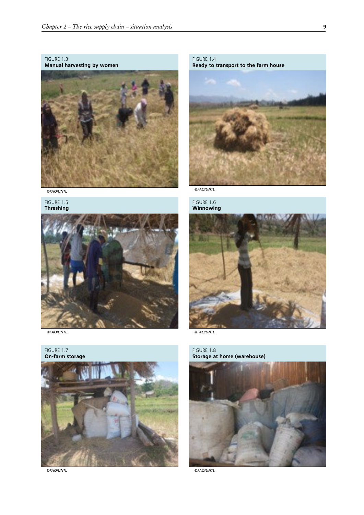<span id="page-24-0"></span>FIGURE 1.3 **Manual harvesting by women**



*©FAO/UNTL*

FIGURE 1.5 **Threshing**



*©FAO/UNTL*

FIGURE 1.7 **On-farm storage**



*©FAO/UNTL*

FIGURE 1.4 **Ready to transport to the farm house**



*©FAO/UNTL*



*©FAO/UNTL*

FIGURE 1.8 **Storage at home (warehouse)**



*©FAO/UNTL*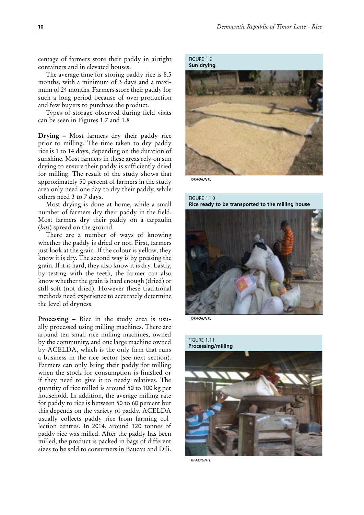<span id="page-25-0"></span>centage of farmers store their paddy in airtight containers and in elevated houses.

The average time for storing paddy rice is 8.5 months, with a minimum of 3 days and a maximum of 24 months. Farmers store their paddy for such a long period because of over-production and few buyers to purchase the product.

Types of storage observed during field visits can be seen in Figures 1.7 and 1.8

**Drying –** Most farmers dry their paddy rice prior to milling. The time taken to dry paddy rice is 1 to 14 days, depending on the duration of sunshine. Most farmers in these areas rely on sun drying to ensure their paddy is sufficiently dried for milling. The result of the study shows that approximately 50 percent of farmers in the study area only need one day to dry their paddy, while others need 3 to 7 days.

Most drying is done at home, while a small number of farmers dry their paddy in the field. Most farmers dry their paddy on a tarpaulin (*biti*) spread on the ground.

There are a number of ways of knowing whether the paddy is dried or not. First, farmers just look at the grain. If the colour is yellow, they know it is dry. The second way is by pressing the grain. If it is hard, they also know it is dry. Lastly, by testing with the teeth, the farmer can also know whether the grain is hard enough (dried) or still soft (not dried). However these traditional methods need experience to accurately determine the level of dryness.

**Processing** – Rice in the study area is usually processed using milling machines. There are around ten small rice milling machines, owned by the community, and one large machine owned by ACELDA, which is the only firm that runs a business in the rice sector (see next section). Farmers can only bring their paddy for milling when the stock for consumption is finished or if they need to give it to needy relatives. The quantity of rice milled is around 50 to 100 kg per household. In addition, the average milling rate for paddy to rice is between 50 to 60 percent but this depends on the variety of paddy. ACELDA usually collects paddy rice from farming collection centres. In 2014, around 120 tonnes of paddy rice was milled. After the paddy has been milled, the product is packed in bags of different sizes to be sold to consumers in Baucau and Dili.

FIGURE 1.9 **Sun drying**



*©FAO/UNTL*

### FIGURE 1.10 **Rice ready to be transported to the milling house**



*©FAO/UNTL*

FIGURE 1.11 **Processing/milling** 



*©FAO/UNTL*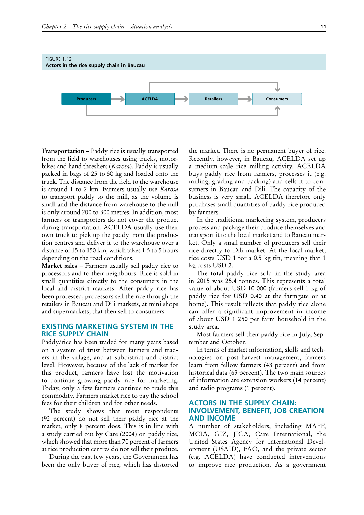<span id="page-26-0"></span>

**Transportation** – Paddy rice is usually transported from the field to warehouses using trucks, motorbikes and hand threshers (*Karosa*). Paddy is usually packed in bags of 25 to 50 kg and loaded onto the truck. The distance from the field to the warehouse is around 1 to 2 km. Farmers usually use *Karosa* to transport paddy to the mill, as the volume is small and the distance from warehouse to the mill is only around 200 to 300 metres. In addition, most farmers or transporters do not cover the product during transportation. ACELDA usually use their own truck to pick up the paddy from the production centres and deliver it to the warehouse over a distance of 15 to 150 km, which takes 1.5 to 5 hours depending on the road conditions.

**Market sales** – Farmers usually sell paddy rice to processors and to their neighbours. Rice is sold in small quantities directly to the consumers in the local and district markets. After paddy rice has been processed, processors sell the rice through the retailers in Baucau and Dili markets, at mini shops and supermarkets, that then sell to consumers.

## **EXISTING MARKETING SYSTEM IN THE RICE SUPPLY CHAIN**

Paddy/rice has been traded for many years based on a system of trust between farmers and traders in the village, and at subdistrict and district level. However, because of the lack of market for this product, farmers have lost the motivation to continue growing paddy rice for marketing. Today, only a few farmers continue to trade this commodity. Farmers market rice to pay the school fees for their children and for other needs.

The study shows that most respondents (92 percent) do not sell their paddy rice at the market, only 8 percent does. This is in line with a study carried out by Care (2004) on paddy rice, which showed that more than 70 percent of farmers at rice production centres do not sell their produce.

During the past few years, the Government has been the only buyer of rice, which has distorted the market. There is no permanent buyer of rice. Recently, however, in Baucau, ACELDA set up a medium-scale rice milling activity. ACELDA buys paddy rice from farmers, processes it (e.g. milling, grading and packing) and sells it to consumers in Baucau and Dili. The capacity of the business is very small. ACELDA therefore only purchases small quantities of paddy rice produced by farmers.

In the traditional marketing system, producers process and package their produce themselves and transport it to the local market and to Baucau market. Only a small number of producers sell their rice directly to Dili market. At the local market, rice costs USD 1 for a 0.5 kg tin, meaning that 1 kg costs USD 2.

The total paddy rice sold in the study area in 2015 was 25.4 tonnes. This represents a total value of about USD 10 000 (farmers sell 1 kg of paddy rice for USD 0.40 at the farmgate or at home). This result reflects that paddy rice alone can offer a significant improvement in income of about USD 1 250 per farm household in the study area.

Most farmers sell their paddy rice in July, September and October.

In terms of market information, skills and technologies on post-harvest management, farmers learn from fellow farmers (48 percent) and from historical data (63 percent). The two main sources of information are extension workers (14 percent) and radio programs (1 percent).

## **ACTORS IN THE SUPPLY CHAIN: INVOLVEMENT, BENEFIT, JOB CREATION AND INCOME**

A number of stakeholders, including MAFF, MCIA, GIZ, JICA, Care International, the United States Agency for International Development (USAID), FAO, and the private sector (e.g. ACELDA) have conducted interventions to improve rice production. As a government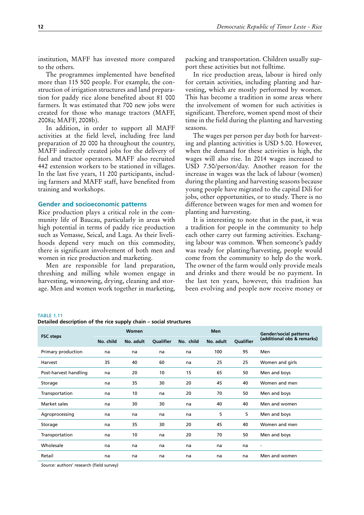<span id="page-27-0"></span>institution, MAFF has invested more compared to the others.

The programmes implemented have benefited more than 115 500 people. For example, the construction of irrigation structures and land preparation for paddy rice alone benefited about 81 000 farmers. It was estimated that 700 new jobs were created for those who manage tractors (MAFF, 2008a; MAFF, 2008b).

In addition, in order to support all MAFF activities at the field level, including free land preparation of 20 000 ha throughout the country, MAFF indirectly created jobs for the delivery of fuel and tractor operators. MAFF also recruited 442 extension workers to be stationed in villages. In the last five years, 11 200 participants, including farmers and MAFF staff, have benefited from training and workshops.

### **Gender and socioeconomic patterns**

Rice production plays a critical role in the community life of Baucau, particularly in areas with high potential in terms of paddy rice production such as Vemasse, Seical, and Laga. As their livelihoods depend very much on this commodity, there is significant involvement of both men and women in rice production and marketing.

Men are responsible for land preparation, threshing and milling while women engage in harvesting, winnowing, drying, cleaning and storage. Men and women work together in marketing,

packing and transportation. Children usually support these activities but not fulltime.

In rice production areas, labour is hired only for certain activities, including planting and harvesting, which are mostly performed by women. This has become a tradition in some areas where the involvement of women for such activities is significant. Therefore, women spend most of their time in the field during the planting and harvesting seasons.

The wages per person per day both for harvesting and planting activities is USD 5.00. However, when the demand for these activities is high, the wages will also rise. In 2014 wages increased to USD 7.50/person/day. Another reason for the increase in wages was the lack of labour (women) during the planting and harvesting seasons because young people have migrated to the capital Dili for jobs, other opportunities, or to study. There is no difference between wages for men and women for planting and harvesting.

It is interesting to note that in the past, it was a tradition for people in the community to help each other carry out farming activities. Exchanging labour was common. When someone's paddy was ready for planting/harvesting, people would come from the community to help do the work. The owner of the farm would only provide meals and drinks and there would be no payment. In the last ten years, however, this tradition has been evolving and people now receive money or

#### TABLE 1.11

**Detailed description of the rice supply chain – social structures**

| <b>FSC</b> steps      |           | <b>Women</b> |           |           | <b>Men</b> |           | <b>Gender/social patterns</b> |
|-----------------------|-----------|--------------|-----------|-----------|------------|-----------|-------------------------------|
|                       | No. child | No. adult    | Qualifier | No. child | No. adult  | Qualifier | (additional obs & remarks)    |
| Primary production    | na        | na           | na        | na        | 100        | 95        | Men                           |
| Harvest               | 35        | 40           | 60        | na        | 25         | 25        | Women and girls               |
| Post-harvest handling | na        | 20           | 10        | 15        | 65         | 50        | Men and boys                  |
| Storage               | na        | 35           | 30        | 20        | 45         | 40        | Women and men                 |
| Transportation        | na        | 10           | na        | 20        | 70         | 50        | Men and boys                  |
| Market sales          | na        | 30           | 30        | na        | 40         | 40        | Men and women                 |
| Agroprocessing        | na        | na           | na        | na        | 5          | 5         | Men and boys                  |
| Storage               | na        | 35           | 30        | 20        | 45         | 40        | Women and men                 |
| Transportation        | na        | 10           | na        | 20        | 70         | 50        | Men and boys                  |
| Wholesale             | na        | na           | na        | na        | na         | na        | $\overline{\phantom{a}}$      |
| Retail                | na        | na           | na        | na        | na         | na        | Men and women                 |
|                       |           |              |           |           |            |           |                               |

*Source:* authors' research (field survey)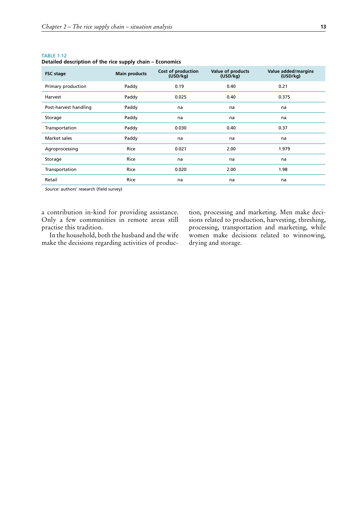| <b>FSC</b> stage      | <b>Main products</b> | Cost of production<br>(USD/kg) | Value of products<br>(USD/kg) | Value added/margins<br>(USD/kg) |
|-----------------------|----------------------|--------------------------------|-------------------------------|---------------------------------|
| Primary production    | Paddy                | 0.19                           | 0.40                          | 0.21                            |
| Harvest               | Paddy                | 0.025                          | 0.40                          | 0.375                           |
| Post-harvest handling | Paddy                | na                             | na                            | na                              |
| Storage               | Paddy                | na                             | na                            | na                              |
| Transportation        | Paddy                | 0.030                          | 0.40                          | 0.37                            |
| Market sales          | Paddy                | na                             | na                            | na                              |
| Agroprocessing        | Rice                 | 0.021                          | 2.00                          | 1.979                           |
| Storage               | Rice                 | na                             | na                            | na                              |
| Transportation        | Rice                 | 0.020                          | 2.00                          | 1.98                            |
| Retail                | Rice                 | na                             | na                            | na                              |

<span id="page-28-0"></span>**Detailed description of the rice supply chain – Economics**

*Source:* authors' research (field survey)

a contribution in-kind for providing assistance. Only a few communities in remote areas still practise this tradition.

In the household, both the husband and the wife make the decisions regarding activities of production, processing and marketing. Men make decisions related to production, harvesting, threshing, processing, transportation and marketing, while women make decisions related to winnowing, drying and storage.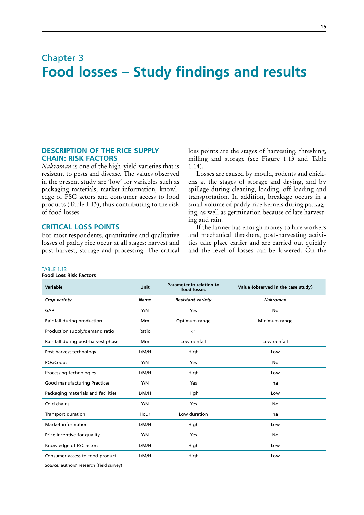## <span id="page-30-0"></span>Chapter 3 **Food losses – Study findings and results**

## **DESCRIPTION OF THE RICE SUPPLY CHAIN: RISK FACTORS**

*Nakroman* is one of the high-yield varieties that is resistant to pests and disease. The values observed in the present study are 'low' for variables such as packaging materials, market information, knowledge of FSC actors and consumer access to food products (Table 1.13), thus contributing to the risk of food losses.

## **CRITICAL LOSS POINTS**

For most respondents, quantitative and qualitative losses of paddy rice occur at all stages: harvest and post-harvest, storage and processing. The critical loss points are the stages of harvesting, threshing, milling and storage (see Figure 1.13 and Table 1.14).

Losses are caused by mould, rodents and chickens at the stages of storage and drying, and by spillage during cleaning, loading, off-loading and transportation. In addition, breakage occurs in a small volume of paddy rice kernels during packaging, as well as germination because of late harvesting and rain.

If the farmer has enough money to hire workers and mechanical threshers, post-harvesting activities take place earlier and are carried out quickly and the level of losses can be lowered. On the

#### TABLE 1.13

### **Food Loss Risk Factors**

| Variable                           | Unit        | Parameter in relation to<br>food losses | Value (observed in the case study) |
|------------------------------------|-------------|-----------------------------------------|------------------------------------|
| Crop variety                       | <b>Name</b> | <b>Resistant variety</b>                | <b>Nakroman</b>                    |
| GAP                                | Y/N         | Yes                                     | No                                 |
| Rainfall during production         | Mm          | Optimum range                           | Minimum range                      |
| Production supply/demand ratio     | Ratio       | <1                                      |                                    |
| Rainfall during post-harvest phase | Mm          | Low rainfall                            | Low rainfall                       |
| Post-harvest technology            | L/M/H       | High                                    | Low                                |
| POs/Coops                          | Y/N         | Yes                                     | No                                 |
| Processing technologies            | L/M/H       | High                                    | Low                                |
| Good manufacturing Practices       | Y/N         | Yes                                     | na                                 |
| Packaging materials and facilities | L/M/H       | High                                    | Low                                |
| Cold chains                        | Y/N         | Yes                                     | No                                 |
| Transport duration                 | Hour        | Low duration                            | na                                 |
| Market information                 | L/M/H       | High                                    | Low                                |
| Price incentive for quality        | Y/N         | Yes                                     | No                                 |
| Knowledge of FSC actors            | L/M/H       | High                                    | Low                                |
| Consumer access to food product    | L/M/H       | High                                    | Low                                |

*Source:* authors' research (field survey)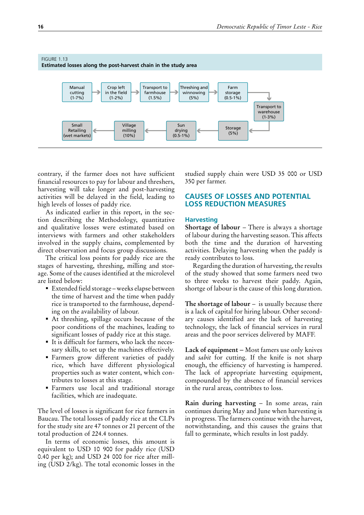<span id="page-31-0"></span>

contrary, if the farmer does not have sufficient financial resources to pay for labour and threshers, harvesting will take longer and post-harvesting activities will be delayed in the field, leading to high levels of losses of paddy rice.

As indicated earlier in this report, in the section describing the Methodology, quantitative and qualitative losses were estimated based on interviews with farmers and other stakeholders involved in the supply chains, complemented by direct observation and focus group discussions.

The critical loss points for paddy rice are the stages of harvesting, threshing, milling and storage. Some of the causes identified at the microlevel are listed below:

- Extended field storage weeks elapse between the time of harvest and the time when paddy rice is transported to the farmhouse, depending on the availability of labour.
- At threshing, spillage occurs because of the poor conditions of the machines, leading to significant losses of paddy rice at this stage.
- It is difficult for farmers, who lack the necessary skills, to set up the machines effectively.
- Farmers grow different varieties of paddy rice, which have different physiological properties such as water content, which contributes to losses at this stage.
- Farmers use local and traditional storage facilities, which are inadequate.

The level of losses is significant for rice farmers in Baucau. The total losses of paddy rice at the CLPs for the study site are 47 tonnes or 21 percent of the total production of 224.4 tonnes.

In terms of economic losses, this amount is equivalent to USD 10 900 for paddy rice (USD 0.40 per kg); and USD 24 000 for rice after milling (USD 2/kg). The total economic losses in the

studied supply chain were USD 35 000 or USD 350 per farmer.

## **CAUSES OF LOSSES AND POTENTIAL LOSS REDUCTION MEASURES**

## **Harvesting**

**Shortage of labour** – There is always a shortage of labour during the harvesting season. This affects both the time and the duration of harvesting activities. Delaying harvesting when the paddy is ready contributes to loss.

Regarding the duration of harvesting, the results of the study showed that some farmers need two to three weeks to harvest their paddy. Again, shortge of labour is the cause of this long duration.

**The shortage of labour** – is usually because there is a lack of capital for hiring labour. Other secondary causes identified are the lack of harvesting technology, the lack of financial services in rural areas and the poor services delivered by MAFF.

**Lack of equipment** – Most famers use only knives and *sabit* for cutting. If the knife is not sharp enough, the efficiency of harvesting is hampered. The lack of appropriate harvesting equipment, compounded by the absence of financial services in the rural areas, contribtes to loss.

**Rain during harvesting** – In some areas, rain continues during May and June when harvesting is in progress. The farmers continue with the harvest, notwithstanding, and this causes the grains that fall to germinate, which results in lost paddy.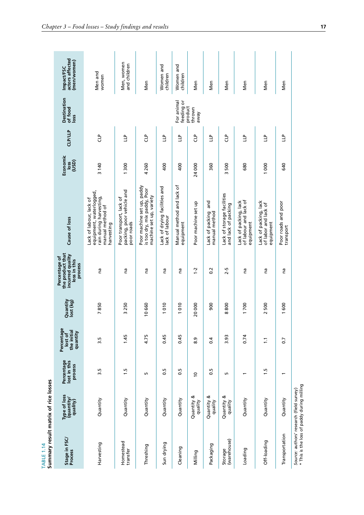<span id="page-32-0"></span>

| Summary result matrix of rice losses<br><b>TABLE 1.14</b>                              |                                        |                                       |                                                  |                                 |                                                                                  |                                                                                                                 |                                  |                         |                                       |                                              |
|----------------------------------------------------------------------------------------|----------------------------------------|---------------------------------------|--------------------------------------------------|---------------------------------|----------------------------------------------------------------------------------|-----------------------------------------------------------------------------------------------------------------|----------------------------------|-------------------------|---------------------------------------|----------------------------------------------|
| Stage in FSC/<br>Process                                                               | Type of loss<br>(quantity/<br>quality) | Percentage<br>lost in this<br>process | Percentage<br>the initial<br>quantity<br>lost of | Quantity<br>lost (kg)           | the product that<br>incurred quality<br>Percentage of<br>loss in this<br>process | Cause of loss                                                                                                   | Economic<br>(USD)<br><b>IOSS</b> | CLP/LLP                 | <b>Destination</b><br>of food<br>loss | actors affected<br>(men/women)<br>Impact/FSC |
| Harvesting                                                                             | Quantity                               | 3.5                                   | 3.5                                              | 7850                            | na                                                                               | equipment, waterlogged,<br>rain during harvesting,<br>Lack of labour, lack of<br>manual method of<br>harvesting | 3 140                            | å                       |                                       | Men and<br>women                             |
| Homestead<br>transfer                                                                  | Quantity                               | 1.5                                   | 1.45                                             | 3250                            | na                                                                               | packing, poor vehicle and<br>Poor transport, lack of<br>poor roads                                              | 1300                             | Ê                       |                                       | Men, women<br>and children                   |
| Threshing                                                                              | Quantity                               | Ln                                    | 4.75                                             | 10660                           | na                                                                               | Poor machine set up, paddy<br>is too dry, mix paddy, Poor<br>machine set up, variety                            | 4 260                            | Ĵ                       |                                       | Men                                          |
| Sun drying                                                                             | Quantity                               | 0.5                                   | 0.45                                             | $\frac{1}{2}$<br>$\overline{ }$ | ma                                                                               | Lack of drying facilities and<br>ack of labour                                                                  | 400                              | Ê                       |                                       | Women and<br>children                        |
| Cleaning                                                                               | Quantity                               | $\frac{5}{2}$                         | 0.45                                             | 010<br>$\overline{ }$           | na                                                                               | Manual method and lack of<br>equipment                                                                          | 400                              | Ê                       | For animal<br>feeding or              | Women and<br>children                        |
| Milling                                                                                | ళ<br>Quantity<br>quality               | $\overline{0}$                        | 8.9                                              | 20000                           | $1 - 2$                                                                          | Poor machine set up                                                                                             | 24 000                           | å                       | product<br>thrown<br>Vewe             | Men                                          |
| Packaging                                                                              | Quantity &<br>quality                  | 0.5                                   | 0.4                                              | 800                             | $0.\overline{2}$                                                                 | and<br>Lack of packing<br>manual method                                                                         | 360                              | $\overline{\mathsf{L}}$ |                                       | Men                                          |
| (warehouse)<br>Storage                                                                 | Quantity &<br>quality                  | LO.                                   | 3.93                                             | 800<br>$\infty$                 | $2 - 5$                                                                          | Lack of storage facilities<br>and lack of packing                                                               | 500<br>$\mathsf{m}$              | å                       |                                       | Men                                          |
| Loading                                                                                | Quantity                               |                                       | 0.74                                             | 1700                            | na                                                                               | of labour and lack of<br>Lack of packing, lack<br>equipment                                                     | 680                              | Ê                       |                                       | Men                                          |
| Off-loading                                                                            | Quantity                               | 1.5                                   | $\overline{1}$                                   | 2500                            | na                                                                               | Lack of packing, lack<br>of labor and lack of<br>equipment                                                      | 1000                             | Ê                       |                                       | Men                                          |
| Transportation                                                                         | Quantity                               |                                       | 0.7                                              | 1600                            | na                                                                               | Poor roads and poor<br>transport                                                                                | 640                              | Ê                       |                                       | Men                                          |
| * This is the loss of paddy during milling<br>Source: authors' research (field survey) |                                        |                                       |                                                  |                                 |                                                                                  |                                                                                                                 |                                  |                         |                                       |                                              |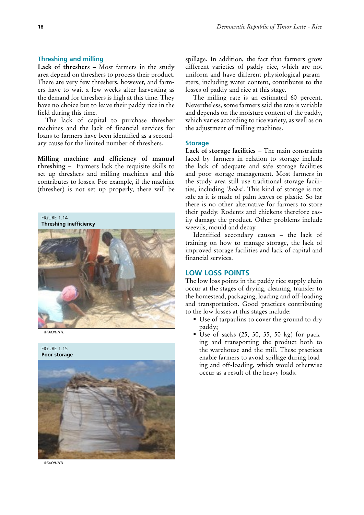## <span id="page-33-0"></span>**Threshing and milling**

Lack of threshers - Most farmers in the study area depend on threshers to process their product. There are very few threshers, however, and farmers have to wait a few weeks after harvesting as the demand for threshers is high at this time. They have no choice but to leave their paddy rice in the field during this time.

The lack of capital to purchase thresher machines and the lack of financial services for loans to farmers have been identified as a secondary cause for the limited number of threshers.

**Milling machine and efficiency of manual threshing** – Farmers lack the requisite skills to set up threshers and milling machines and this contributes to losses. For example, if the machine (thresher) is not set up properly, there will be

FIGURE 1.14 **Threshing inefficiency**



*©FAO/UNTL*

FIGURE 1.15 **Poor storage**



*©FAO/UNTL*

spillage. In addition, the fact that farmers grow different varieties of paddy rice, which are not uniform and have different physiological parameters, including water content, contributes to the losses of paddy and rice at this stage.

The milling rate is an estimated 60 percent. Nevertheless, some farmers said the rate is variable and depends on the moisture content of the paddy, which varies according to rice variety, as well as on the adjustment of milling machines.

## **Storage**

**Lack of storage facilities** – The main constraints faced by farmers in relation to storage include the lack of adequate and safe storage facilities and poor storage management. Most farmers in the study area still use traditional storage facilities, including '*hoka*'. This kind of storage is not safe as it is made of palm leaves or plastic. So far there is no other alternative for farmers to store their paddy. Rodents and chickens therefore easily damage the product. Other problems include weevils, mould and decay.

Identified secondary causes – the lack of training on how to manage storage, the lack of improved storage facilities and lack of capital and financial services.

## **LOW LOSS POINTS**

The low loss points in the paddy rice supply chain occur at the stages of drying, cleaning, transfer to the homestead, packaging, loading and off-loading and transportation. Good practices contributing to the low losses at this stages include:

- Use of tarpaulins to cover the ground to dry paddy;
- Use of sacks  $(25, 30, 35, 50 \text{ kg})$  for packing and transporting the product both to the warehouse and the mill. These practices enable farmers to avoid spillage during loading and off-loading, which would otherwise occur as a result of the heavy loads.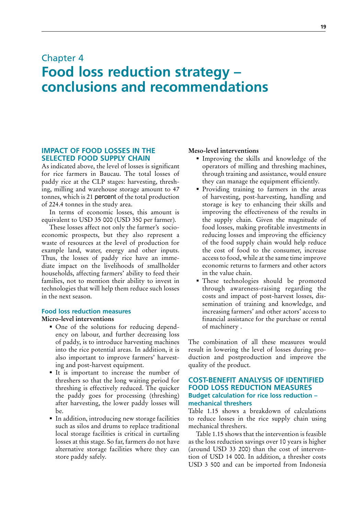## <span id="page-34-0"></span>Chapter 4 **Food loss reduction strategy – conclusions and recommendations**

## **IMPACT OF FOOD LOSSES IN THE SELECTED FOOD SUPPLY CHAIN**

As indicated above, the level of losses is significant for rice farmers in Baucau. The total losses of paddy rice at the CLP stages: harvesting, threshing, milling and warehouse storage amount to 47 tonnes, which is 21 percent of the total production of 224.4 tonnes in the study area.

In terms of economic losses, this amount is equivalent to USD 35 000 (USD 350 per farmer).

These losses affect not only the farmer's socioeconomic prospects, but they also represent a waste of resources at the level of production for example land, water, energy and other inputs. Thus, the losses of paddy rice have an immediate impact on the livelihoods of smallholder households, affecting farmers' ability to feed their families, not to mention their ability to invest in technologies that will help them reduce such losses in the next season.

## **Food loss reduction measures**

### **Micro-level interventions**

- One of the solutions for reducing dependency on labour, and further decreasing loss of paddy, is to introduce harvesting machines into the rice potential areas. In addition, it is also important to improve farmers' harvesting and post-harvest equipment.
- It is important to increase the number of threshers so that the long waiting period for threshing is effectively reduced. The quicker the paddy goes for processing (threshing) after harvesting, the lower paddy losses will be.
- In addition, introducing new storage facilities such as silos and drums to replace traditional local storage facilities is critical in curtailing losses at this stage. So far, farmers do not have alternative storage facilities where they can store paddy safely.

## **Meso-level interventions**

- Improving the skills and knowledge of the operators of milling and threshing machines, through training and assistance, would ensure they can manage the equipment efficiently.
- **Providing training to farmers in the areas** of harvesting, post-harvesting, handling and storage is key to enhancing their skills and improving the effectiveness of the results in the supply chain. Given the magnitude of food losses, making profitable investments in reducing losses and improving the efficiency of the food supply chain would help reduce the cost of food to the consumer, increase access to food, while at the same time improve economic returns to farmers and other actors in the value chain.
- These technologies should be promoted through awareness-raising regarding the costs and impact of post-harvest losses, dissemination of training and knowledge, and increasing farmers' and other actors' access to financial assistance for the purchase or rental of machinery .

The combination of all these measures would result in lowering the level of losses during production and postproduction and improve the quality of the product.

## **COST-BENEFIT ANALYSIS OF IDENTIFIED FOOD LOSS REDUCTION MEASURES Budget calculation for rice loss reduction – mechanical threshers**

Table 1.15 shows a breakdown of calculations to reduce losses in the rice supply chain using mechanical threshers.

Table 1.15 shows that the intervention is feasible as the loss reduction savings over 10 years is higher (around USD 33 200) than the cost of intervention of USD 14 000. In addition, a thresher costs USD 3 500 and can be imported from Indonesia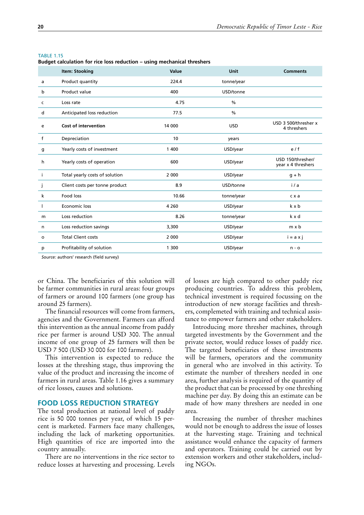<span id="page-35-0"></span>

|    | <b>Item: Stooking</b>          | Value   | <b>Unit</b>   | <b>Comments</b>                         |
|----|--------------------------------|---------|---------------|-----------------------------------------|
| a  | Product quantity               | 224.4   | tonne/year    |                                         |
| b  | Product value                  | 400     | USD/tonne     |                                         |
| c  | Loss rate                      | 4.75    | $\frac{0}{0}$ |                                         |
| d  | Anticipated loss reduction     | 77.5    | $\frac{0}{0}$ |                                         |
| e  | <b>Cost of intervention</b>    | 14 000  | <b>USD</b>    | USD 3 500/thresher x<br>4 threshers     |
| f  | Depreciation                   | 10      | years         |                                         |
| g  | Yearly costs of investment     | 1 400   | USD/year      | e/f                                     |
| h  | Yearly costs of operation      | 600     | USD/year      | USD 150/thresher/<br>year x 4 threshers |
| j. | Total yearly costs of solution | 2 0 0 0 | USD/year      | $q + h$                                 |
| j  | Client costs per tonne product | 8.9     | USD/tonne     | i/a                                     |
| k  | Food loss                      | 10.66   | tonne/year    | c x a                                   |
|    | Economic loss                  | 4 2 6 0 | USD/year      | k x b                                   |
| m  | Loss reduction                 | 8.26    | tonne/year    | k x d                                   |
| n  | Loss reduction savings         | 3,300   | USD/year      | m x b                                   |
| o  | <b>Total Client costs</b>      | 2 0 0 0 | USD/year      | $i = a \times j$                        |
| р  | Profitability of solution      | 1 300   | USD/year      | $n - o$                                 |

**Budget calculation for rice loss reduction – using mechanical threshers**

*Source:* authors' research (field survey)

or China. The beneficiaries of this solution will be farmer communities in rural areas: four groups of farmers or around 100 farmers (one group has around 25 farmers).

The financial resources will come from farmers, agencies and the Government. Farmers can afford this intervention as the annual income from paddy rice per farmer is around USD 300. The annual income of one group of 25 farmers will then be USD 7 500 (USD 30 000 for 100 farmers).

This intervention is expected to reduce the losses at the threshing stage, thus improving the value of the product and increasing the income of farmers in rural areas. Table 1.16 gives a summary of rice losses, causes and solutions.

## **FOOD LOSS REDUCTION STRATEGY**

The total production at national level of paddy rice is 50 000 tonnes per year, of which 15 percent is marketed. Farmers face many challenges, including the lack of marketing opportunities. High quantities of rice are imported into the country annually.

There are no interventions in the rice sector to reduce losses at harvesting and processing. Levels

of losses are high compared to other paddy rice producing countries. To address this problem, technical investment is required focussing on the introduction of new storage facilities and threshers, complemeted with training and technical assistance to empower farmers and other stakeholders.

Introducing more thresher machines, through targeted investments by the Government and the private sector, would reduce losses of paddy rice. The targeted beneficiaries of these investments will be farmers, operators and the community in general who are involved in this activity. To estimate the number of threshers needed in one area, further analysis is required of the quantity of the product that can be processed by one threshing machine per day. By doing this an estimate can be made of how many threshers are needed in one area.

Increasing the number of thresher machines would not be enough to address the issue of losses at the harvesting stage. Training and technical assistance would enhance the capacity of farmers and operators. Training could be carried out by extension workers and other stakeholders, including NGOs.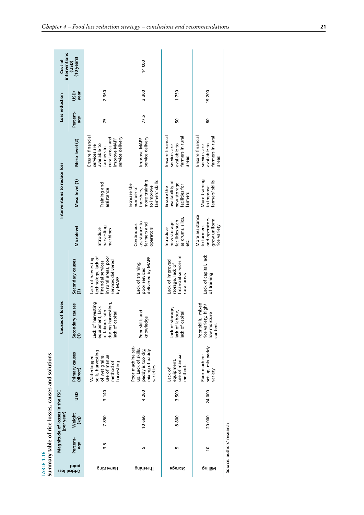<span id="page-36-0"></span>

| <b>TABLE 1.16</b> |                           |                                              |        | Summary table of rice losses, causes and solutions                                             |                                                                                                   |                                                                                                                          |                                                                                 |                                                                                           |                                                                                                                       |                 |             |                               |
|-------------------|---------------------------|----------------------------------------------|--------|------------------------------------------------------------------------------------------------|---------------------------------------------------------------------------------------------------|--------------------------------------------------------------------------------------------------------------------------|---------------------------------------------------------------------------------|-------------------------------------------------------------------------------------------|-----------------------------------------------------------------------------------------------------------------------|-----------------|-------------|-------------------------------|
| Critical loss     |                           | Magnitude of losses in the FSC<br>(per year) |        |                                                                                                | of losses<br>Causes                                                                               |                                                                                                                          |                                                                                 | Interventions to reduce loss                                                              |                                                                                                                       | Loss reduction  |             | interventions<br>Cost of      |
| point             | Percent-<br>age           | Weight<br>(kg)                               | usp    | Primary causes<br>(direct)                                                                     | y causes<br>Secondar<br>$\widehat{z}$                                                             | Secondary causes<br>(2)                                                                                                  | Microlevel                                                                      | Meso level (1)                                                                            | Meso level (2)                                                                                                        | Percent-<br>age | Vas<br>year | $(10 \text{ years})$<br>(USD) |
| Harvesting        | 3.5                       | 7850                                         | 3140   | soils, harvesting<br>use of manual<br>of wet grains,<br>Waterlogged<br>method of<br>harvesting | Lack of harvesting<br>during harvesting,<br>equipment, lack<br>of labour, rain<br>lack of capital | in rural areas, poor<br>technology, lack of<br>Lack of harvesting<br>services delivered<br>financial services<br>by MAFF | harvesting<br>Introduce<br>machines                                             | Training and<br>assistance                                                                | Ensure financial<br>rural areas and<br>service delivery<br>improve MAFF<br>available to<br>services are<br>farmers in | 75              | 2360        |                               |
| Threshing         | 5                         | 10 660                                       | 4 260  | Poor machine set-<br>up, Lack of skills,<br>paddy is too dry,<br>mixing of paddy<br>varieties  | Poor skills and<br>$\mathbf{Q}$<br>knowledg                                                       | delivered by MAFF<br>Lack of training,<br>poor services                                                                  | assistance to<br>farmers and<br>Continuous<br>operators                         | more training<br>farmers' skills<br>Increase the<br>to improve<br>number of<br>threshers, | service delivery<br>Improve MAFF                                                                                      | 77.5            | 3300        | 14 000                        |
| Storage           | LN                        | 8800                                         | 3500   | use of manual<br>equipment,<br>methods<br>Lack of                                              | Lack of storage,<br>lack of labour,<br>ack of capital                                             | financial services in<br>Lack of improved<br>storage, lack of<br>rural areas                                             | as drums, silos,<br>facilities such<br>new storage<br>Introduce<br>ن<br>فا      | availability of<br>new storage<br>facilities for<br>Ensure the<br>farmers                 | Ensure financial<br>farmers in rural<br>available to<br>services are<br>areas                                         | 50              | 1750        |                               |
| pnilliM           | °                         | 20000                                        | 24 000 | set-up, mix paddy<br>Poor machine<br>variety                                                   | Poor skills, mixed<br>rice variety, high/<br>low moisture<br>content                              | Lack of capital, lack<br>of training                                                                                     | More assistance<br>and operators,<br>grow uniform<br>to farmers<br>rice variety | More training<br>to improve<br>farmers' skills                                            | Ensure financial<br>farmers in rural<br>available to<br>services are<br>areas                                         | 80              | 19 200      |                               |
|                   | Source: authors' research |                                              |        |                                                                                                |                                                                                                   |                                                                                                                          |                                                                                 |                                                                                           |                                                                                                                       |                 |             |                               |

| ç |  |
|---|--|
|   |  |
|   |  |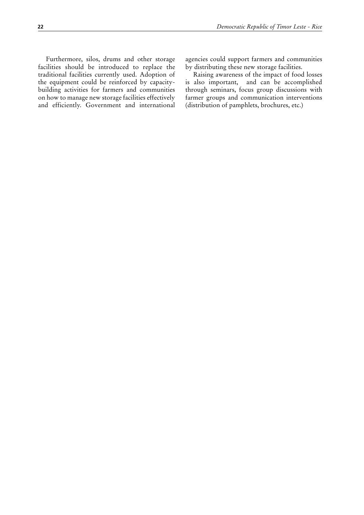Furthermore, silos, drums and other storage facilities should be introduced to replace the traditional facilities currently used. Adoption of the equipment could be reinforced by capacitybuilding activities for farmers and communities on how to manage new storage facilities effectively and efficiently. Government and international agencies could support farmers and communities by distributing these new storage facilities.

Raising awareness of the impact of food losses is also important, and can be accomplished through seminars, focus group discussions with farmer groups and communication interventions (distribution of pamphlets, brochures, etc.)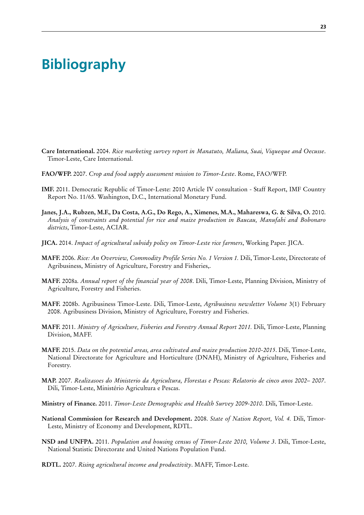## <span id="page-38-0"></span>**Bibliography**

- **Care International.** 2004. *Rice marketing survey report in Manatuto, Maliana, Suai, Viqueque and Oecusse*. Timor-Leste, Care International.
- **FAO/WFP.** 2007. *Crop and food supply assessment mission to Timor-Leste*. Rome, FAO/WFP.
- **IMF.** 2011. Democratic Republic of Timor-Leste: 2010 Article IV consultation Staff Report, IMF Country Report No. 11/65. Washington, D.C., International Monetary Fund.
- **Janes, J.A., Rubzen, M.F., Da Costa, A.G., Do Rego, A., Ximenes, M.A., Mahareswa, G. & Silva, O.** 2010. *Analysis of constraints and potential for rice and maize production in Baucau, Manufahi and Bobonaro districts*, Timor-Leste, ACIAR.
- **JICA.** 2014. *Impact of agricultural subsidy policy on Timor-Leste rice farmers*, Working Paper. JICA.
- **MAFF.** 2006. *Rice: An Overview, Commodity Profile Series No. 1 Version 1.* Dili, Timor-Leste, Directorate of Agribusiness, Ministry of Agriculture, Forestry and Fisheries,.
- **MAFF.** 2008a. *Annual report of the financial year of 2008*. Dili, Timor-Leste, Planning Division, Ministry of Agriculture, Forestry and Fisheries.
- **MAFF.** 2008b. Agribusiness Timor-Leste. Dili, Timor-Leste, *Agribusiness newsletter Volume* 3(1) February 2008. Agribusiness Division, Ministry of Agriculture, Forestry and Fisheries.
- **MAFF.** 2011. *Ministry of Agriculture, Fisheries and Forestry Annual Report 2011.* Dili, Timor-Leste, Planning Division, MAFF.
- **MAFF.** 2015. *Data on the potential areas, area cultivated and maize production 2010-2015*. Dili, Timor-Leste, National Directorate for Agriculture and Horticulture (DNAH), Ministry of Agriculture, Fisheries and Forestry.
- **MAP.** 2007. *Realizasoes do Ministerio da Agricultura, Florestas e Pescas: Relatorio de cinco anos 2002– 2007*. Dili, Timor-Leste, Ministério Agricultura e Pescas.

**Ministry of Finance.** 2011. *Timor-Leste Demographic and Health Survey 2009-2010*. Dili, Timor-Leste.

- **National Commission for Research and Development.** 2008. *State of Nation Report, Vol. 4.* Dili, Timor-Leste, Ministry of Economy and Development, RDTL.
- **NSD and UNFPA.** 2011. *Population and housing census of Timor-Leste 2010, Volume 3*. Dili, Timor-Leste, National Statistic Directorate and United Nations Population Fund.
- **RDTL.** 2007. *Rising agricultural income and productivity*. MAFF, Timor-Leste.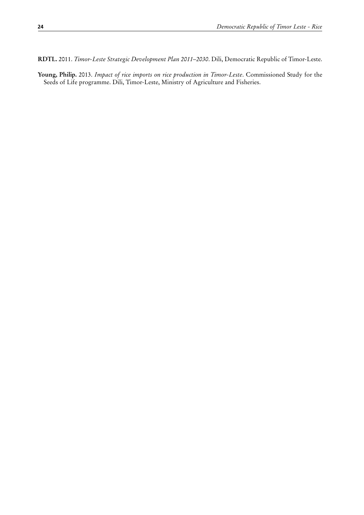**RDTL.** 2011. *Timor-Leste Strategic Development Plan 2011–2030*. Dili, Democratic Republic of Timor-Leste.

**Young, Philip.** 2013. *Impact of rice imports on rice production in Timor-Leste*. Commissioned Study for the Seeds of Life programme. Dili, Timor-Leste, Ministry of Agriculture and Fisheries.